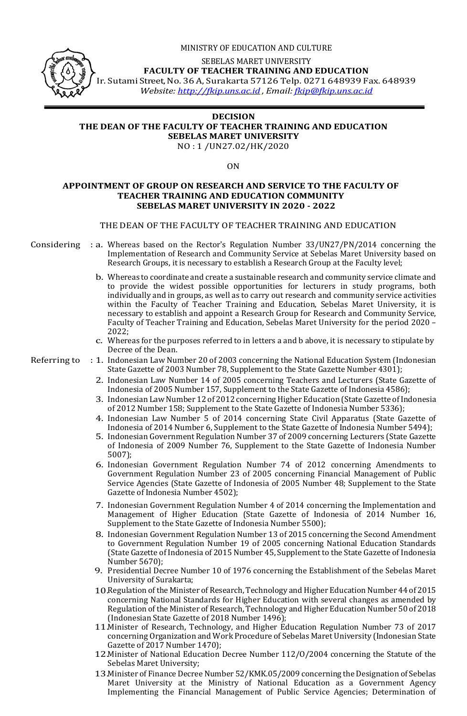

#### MINISTRY OF EDUCATION AND CULTURE

SEBELAS MARET UNIVERSITY

**FACULTY OF TEACHER TRAINING AND EDUCATION**

Ir. Sutami Street, No. 36 A, Surakarta 57126 Telp. 0271 648939 Fax. 648939

*Website: [http://fkip.uns.ac.id](http://fkip.uns.ac.id/) , Email: [fkip@fkip.uns.ac.id](mailto:fkip@fkip.uns.ac.id)*

#### **DECISION THE DEAN OF THE FACULTY OF TEACHER TRAINING AND EDUCATION SEBELAS MARET UNIVERSITY** NO : 1 /UN27.02/HK/2020

ON

### **APPOINTMENT OF GROUP ON RESEARCH AND SERVICE TO THE FACULTY OF TEACHER TRAINING AND EDUCATION COMMUNITY SEBELAS MARET UNIVERSITY IN 2020 - 2022**

## THE DEAN OF THE FACULTY OF TEACHER TRAINING AND EDUCATION

- Considering : a. Whereas based on the Rector's Regulation Number 33/UN27/PN/2014 concerning the Implementation of Research and Community Service at Sebelas Maret University based on Research Groups, it is necessary to establish a Research Group at the Faculty level;
	- b. Whereas to coordinate and create a sustainable research and community service climate and to provide the widest possible opportunities for lecturers in study programs, both individually and in groups, as well as to carry out research and community service activities within the Faculty of Teacher Training and Education, Sebelas Maret University, it is necessary to establish and appoint a Research Group for Research and Community Service, Faculty of Teacher Training and Education, Sebelas Maret University for the period 2020 – 2022;
	- c. Whereas for the purposes referred to in letters a and b above, it is necessary to stipulate by Decree of the Dean.
- Referring to : 1. Indonesian Law Number 20 of 2003 concerning the National Education System (Indonesian State Gazette of 2003 Number 78, Supplement to the State Gazette Number 4301);
	- 2. Indonesian Law Number 14 of 2005 concerning Teachers and Lecturers (State Gazette of Indonesia of 2005 Number 157, Supplement to the State Gazette of Indonesia 4586);
	- 3. Indonesian Law Number 12 of 2012 concerning Higher Education (State Gazette of Indonesia of 2012 Number 158; Supplement to the State Gazette of Indonesia Number 5336);
	- 4. Indonesian Law Number 5 of 2014 concerning State Civil Apparatus (State Gazette of Indonesia of 2014 Number 6, Supplement to the State Gazette of Indonesia Number 5494);
	- 5. Indonesian Government Regulation Number 37 of 2009 concerning Lecturers (State Gazette of Indonesia of 2009 Number 76, Supplement to the State Gazette of Indonesia Number 5007);
	- 6. Indonesian Government Regulation Number 74 of 2012 concerning Amendments to Government Regulation Number 23 of 2005 concerning Financial Management of Public Service Agencies (State Gazette of Indonesia of 2005 Number 48; Supplement to the State Gazette of Indonesia Number 4502);
	- 7. Indonesian Government Regulation Number 4 of 2014 concerning the Implementation and Management of Higher Education (State Gazette of Indonesia of 2014 Number 16, Supplement to the State Gazette of Indonesia Number 5500);
	- 8. Indonesian Government Regulation Number 13 of 2015 concerning the Second Amendment to Government Regulation Number 19 of 2005 concerning National Education Standards (State Gazette of Indonesia of 2015 Number 45, Supplement to the State Gazette of Indonesia Number 5670);
	- 9. Presidential Decree Number 10 of 1976 concerning the Establishment of the Sebelas Maret University of Surakarta;
	- 10.Regulation of the Minister of Research, Technology and Higher Education Number 44 of 2015 concerning National Standards for Higher Education with several changes as amended by Regulation of the Minister of Research, Technology and Higher Education Number 50 of 2018 (Indonesian State Gazette of 2018 Number 1496);
	- 11.Minister of Research, Technology, and Higher Education Regulation Number 73 of 2017 concerning Organization and Work Procedure of Sebelas Maret University (Indonesian State Gazette of 2017 Number 1470);
	- 12.Minister of National Education Decree Number 112/O/2004 concerning the Statute of the Sebelas Maret University;
	- 13.Minister of Finance Decree Number 52/KMK.05/2009 concerning the Designation of Sebelas Maret University at the Ministry of National Education as a Government Agency Implementing the Financial Management of Public Service Agencies; Determination of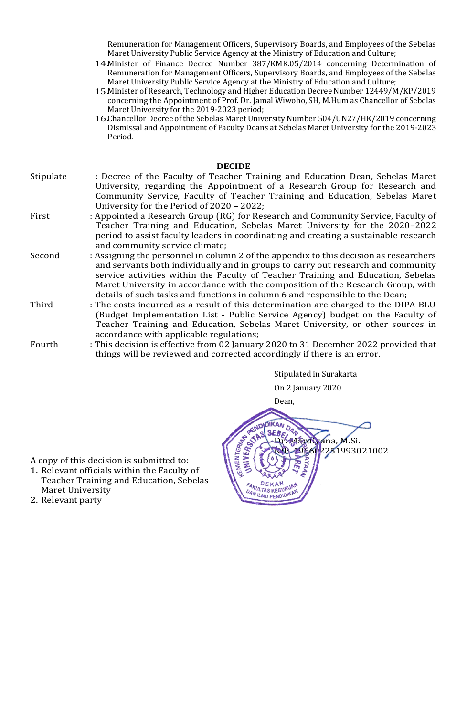Remuneration for Management Officers, Supervisory Boards, and Employees of the Sebelas Maret University Public Service Agency at the Ministry of Education and Culture;

- 14.Minister of Finance Decree Number 387/KMK.05/2014 concerning Determination of Remuneration for Management Officers, Supervisory Boards, and Employees of the Sebelas Maret University Public Service Agency at the Ministry of Education and Culture;
- 15.Minister of Research, Technology and Higher Education Decree Number 12449/M/KP/2019 concerning the Appointment of Prof. Dr. Jamal Wiwoho, SH, M.Hum as Chancellor of Sebelas Maret University for the 2019-2023 period;
- 16.Chancellor Decree of the Sebelas Maret University Number 504/UN27/HK/2019 concerning Dismissal and Appointment of Faculty Deans at Sebelas Maret University for the 2019-2023 Period.

## Stipulate : Decree of the Faculty of Teacher Training and Education Dean, Sebelas Maret University, regarding the Appointment of a Research Group for Research and Community Service, Faculty of Teacher Training and Education, Sebelas Maret University for the Period of 2020 – 2022; First : Appointed a Research Group (RG) for Research and Community Service, Faculty of Teacher Training and Education, Sebelas Maret University for the 2020–2022 period to assist faculty leaders in coordinating and creating a sustainable research and community service climate; Second : Assigning the personnel in column 2 of the appendix to this decision as researchers and servants both individually and in groups to carry out research and community service activities within the Faculty of Teacher Training and Education, Sebelas Maret University in accordance with the composition of the Research Group, with details of such tasks and functions in column 6 and responsible to the Dean; Third : The costs incurred as a result of this determination are charged to the DIPA BLU (Budget Implementation List - Public Service Agency) budget on the Faculty of Teacher Training and Education, Sebelas Maret University, or other sources in accordance with applicable regulations;

Fourth : This decision is effective from 02 January 2020 to 31 December 2022 provided that things will be reviewed and corrected accordingly if there is an error.

> Stipulated in Surakarta On 2 January 2020



A copy of this decision is submitted to:

- 1. Relevant officials within the Faculty of Teacher Training and Education, Sebelas Maret University
- 2. Relevant party

#### **DECIDE**

- 
- -
-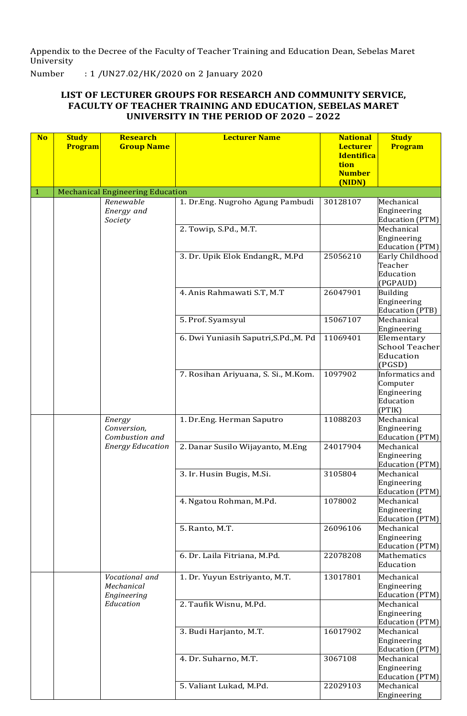Appendix to the Decree of the Faculty of Teacher Training and Education Dean, Sebelas Maret University

Number : 1 /UN27.02/HK/2020 on 2 January 2020

# **LIST OF LECTURER GROUPS FOR RESEARCH AND COMMUNITY SERVICE, FACULTY OF TEACHER TRAINING AND EDUCATION, SEBELAS MARET UNIVERSITY IN THE PERIOD OF 2020 – 2022**

| <b>No</b> | <b>Study</b> | <b>Research</b>                         | <b>Lecturer Name</b>                  | <b>National</b>                      | <b>Study</b>                          |
|-----------|--------------|-----------------------------------------|---------------------------------------|--------------------------------------|---------------------------------------|
|           | Program      | <b>Group Name</b>                       |                                       | <b>Lecturer</b><br><b>Identifica</b> | Program                               |
|           |              |                                         |                                       | tion                                 |                                       |
|           |              |                                         |                                       | <b>Number</b>                        |                                       |
| 1         |              | <b>Mechanical Engineering Education</b> |                                       | (NIDN)                               |                                       |
|           |              | Renewable                               | 1. Dr.Eng. Nugroho Agung Pambudi      | 30128107                             | Mechanical                            |
|           |              | Energy and                              |                                       |                                      | Engineering                           |
|           |              | Society                                 |                                       |                                      | Education (PTM)                       |
|           |              |                                         | 2. Towip, S.Pd., M.T.                 |                                      | Mechanical<br>Engineering             |
|           |              |                                         |                                       |                                      | Education (PTM)                       |
|           |              |                                         | 3. Dr. Upik Elok EndangR., M.Pd       | 25056210                             | Early Childhood                       |
|           |              |                                         |                                       |                                      | Teacher<br>Education                  |
|           |              |                                         |                                       |                                      | (PGPAUD)                              |
|           |              |                                         | 4. Anis Rahmawati S.T, M.T            | 26047901                             | <b>Building</b>                       |
|           |              |                                         |                                       |                                      | Engineering                           |
|           |              |                                         | 5. Prof. Syamsyul                     | 15067107                             | <b>Education (PTB)</b><br>Mechanical  |
|           |              |                                         |                                       |                                      | Engineering                           |
|           |              |                                         | 6. Dwi Yuniasih Saputri, S.Pd., M. Pd | 11069401                             | Elementary                            |
|           |              |                                         |                                       |                                      | <b>School Teacher</b><br>Education    |
|           |              |                                         |                                       |                                      | (PGSD)                                |
|           |              |                                         | 7. Rosihan Ariyuana, S. Si., M.Kom.   | 1097902                              | Informatics and                       |
|           |              |                                         |                                       |                                      | Computer                              |
|           |              |                                         |                                       |                                      | Engineering<br>Education              |
|           |              |                                         |                                       |                                      | (PTIK)                                |
|           |              | Energy                                  | 1. Dr.Eng. Herman Saputro             | 11088203                             | Mechanical                            |
|           |              | Conversion,<br>Combustion and           |                                       |                                      | Engineering<br>Education (PTM)        |
|           |              | <b>Energy Education</b>                 | 2. Danar Susilo Wijayanto, M.Eng      | 24017904                             | Mechanical                            |
|           |              |                                         |                                       |                                      | Engineering                           |
|           |              |                                         | 3. Ir. Husin Bugis, M.Si.             | 3105804                              | <b>Education (PTM)</b><br>Mechanical  |
|           |              |                                         |                                       |                                      | Engineering                           |
|           |              |                                         |                                       |                                      | Education (PTM)                       |
|           |              |                                         | 4. Ngatou Rohman, M.Pd.               | 1078002                              | Mechanical<br>Engineering             |
|           |              |                                         |                                       |                                      | <b>Education (PTM)</b>                |
|           |              |                                         | 5. Ranto, M.T.                        | 26096106                             | Mechanical                            |
|           |              |                                         |                                       |                                      | Engineering                           |
|           |              |                                         | 6. Dr. Laila Fitriana, M.Pd.          | 22078208                             | <b>Education (PTM)</b><br>Mathematics |
|           |              |                                         |                                       |                                      | Education                             |
|           |              | Vocational and                          | 1. Dr. Yuyun Estriyanto, M.T.         | 13017801                             | Mechanical                            |
|           |              | Mechanical                              |                                       |                                      | Engineering                           |
|           |              | Engineering<br>Education                | 2. Taufik Wisnu, M.Pd.                |                                      | <b>Education (PTM)</b><br>Mechanical  |
|           |              |                                         |                                       |                                      | Engineering                           |
|           |              |                                         |                                       |                                      | <b>Education (PTM)</b>                |
|           |              |                                         | 3. Budi Harjanto, M.T.                | 16017902                             | Mechanical<br>Engineering             |
|           |              |                                         |                                       |                                      | <b>Education (PTM)</b>                |
|           |              |                                         | 4. Dr. Suharno, M.T.                  | 3067108                              | Mechanical                            |
|           |              |                                         |                                       |                                      | Engineering                           |
|           |              |                                         | 5. Valiant Lukad, M.Pd.               | 22029103                             | <b>Education (PTM)</b><br>Mechanical  |
|           |              |                                         |                                       |                                      | Engineering                           |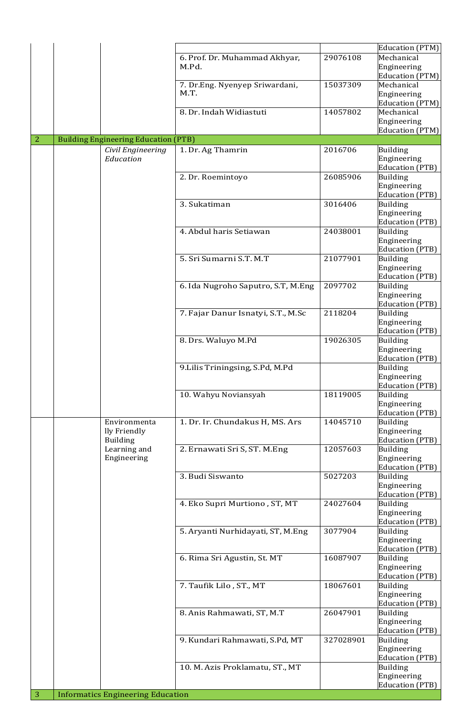|                |                                             |                                        |           | Education (PTM)                           |
|----------------|---------------------------------------------|----------------------------------------|-----------|-------------------------------------------|
|                |                                             | 6. Prof. Dr. Muhammad Akhyar,<br>M.Pd. | 29076108  | Mechanical<br>Engineering                 |
|                |                                             |                                        |           | Education (PTM)                           |
|                |                                             | 7. Dr.Eng. Nyenyep Sriwardani,         | 15037309  | Mechanical                                |
|                |                                             | M.T.                                   |           | Engineering<br>Education (PTM)            |
|                |                                             | 8. Dr. Indah Widiastuti                | 14057802  | Mechanical                                |
|                |                                             |                                        |           | Engineering                               |
| $\overline{2}$ | <b>Building Engineering Education (PTB)</b> |                                        |           | <b>Education (PTM)</b>                    |
|                | Civil Engineering                           | 1. Dr. Ag Thamrin                      | 2016706   | <b>Building</b>                           |
|                | Education                                   |                                        |           | Engineering                               |
|                |                                             | 2. Dr. Roemintoyo                      | 26085906  | Education (PTB)<br><b>Building</b>        |
|                |                                             |                                        |           | Engineering                               |
|                |                                             |                                        |           | <b>Education (PTB)</b>                    |
|                |                                             | 3. Sukatiman                           | 3016406   | <b>Building</b><br>Engineering            |
|                |                                             |                                        |           | <b>Education</b> (PTB)                    |
|                |                                             | 4. Abdul haris Setiawan                | 24038001  | <b>Building</b>                           |
|                |                                             |                                        |           | Engineering<br><b>Education</b> (PTB)     |
|                |                                             | 5. Sri Sumarni S.T. M.T                | 21077901  | Building                                  |
|                |                                             |                                        |           | Engineering                               |
|                |                                             | 6. Ida Nugroho Saputro, S.T, M.Eng     | 2097702   | <b>Education (PTB)</b><br>Building        |
|                |                                             |                                        |           | Engineering                               |
|                |                                             |                                        |           | <b>Education</b> (PTB)                    |
|                |                                             | 7. Fajar Danur Isnatyi, S.T., M.Sc     | 2118204   | <b>Building</b><br>Engineering            |
|                |                                             |                                        |           | <b>Education (PTB)</b>                    |
|                |                                             | 8. Drs. Waluyo M.Pd                    | 19026305  | <b>Building</b>                           |
|                |                                             |                                        |           | Engineering<br><b>Education</b> (PTB)     |
|                |                                             | 9. Lilis Triningsing, S.Pd, M.Pd       |           | <b>Building</b>                           |
|                |                                             |                                        |           | Engineering<br>Education (PTB)            |
|                |                                             | 10. Wahyu Noviansyah                   | 18119005  | <b>Building</b>                           |
|                |                                             |                                        |           | Engineering                               |
|                | Environmenta                                | 1. Dr. Ir. Chundakus H, MS. Ars        | 14045710  | <b>Education</b> (PTB)<br><b>Building</b> |
|                | lly Friendly                                |                                        |           | Engineering                               |
|                | <b>Building</b>                             |                                        |           | <b>Education</b> (PTB)                    |
|                | Learning and<br>Engineering                 | 2. Ernawati Sri S, ST. M.Eng           | 12057603  | <b>Building</b><br>Engineering            |
|                |                                             |                                        |           | <b>Education</b> (PTB)                    |
|                |                                             | 3. Budi Siswanto                       | 5027203   | <b>Building</b><br>Engineering            |
|                |                                             |                                        |           | <b>Education</b> (PTB)                    |
|                |                                             | 4. Eko Supri Murtiono, ST, MT          | 24027604  | <b>Building</b>                           |
|                |                                             |                                        |           | Engineering<br><b>Education (PTB)</b>     |
|                |                                             | 5. Aryanti Nurhidayati, ST, M.Eng      | 3077904   | <b>Building</b>                           |
|                |                                             |                                        |           | Engineering                               |
|                |                                             | 6. Rima Sri Agustin, St. MT            | 16087907  | Education (PTB)<br><b>Building</b>        |
|                |                                             |                                        |           | Engineering                               |
|                |                                             |                                        |           | <b>Education (PTB)</b>                    |
|                |                                             | 7. Taufik Lilo, ST., MT                | 18067601  | Building<br>Engineering                   |
|                |                                             |                                        |           | <b>Education (PTB)</b>                    |
|                |                                             | 8. Anis Rahmawati, ST, M.T             | 26047901  | <b>Building</b>                           |
|                |                                             |                                        |           | Engineering<br><b>Education (PTB)</b>     |
|                |                                             | 9. Kundari Rahmawati, S.Pd, MT         | 327028901 | <b>Building</b>                           |
|                |                                             |                                        |           | Engineering<br><b>Education (PTB)</b>     |
|                |                                             | 10. M. Azis Proklamatu, ST., MT        |           | <b>Building</b>                           |
|                |                                             |                                        |           | Engineering                               |
| $\overline{3}$ | <b>Informatics Engineering Education</b>    |                                        |           | <b>Education (PTB)</b>                    |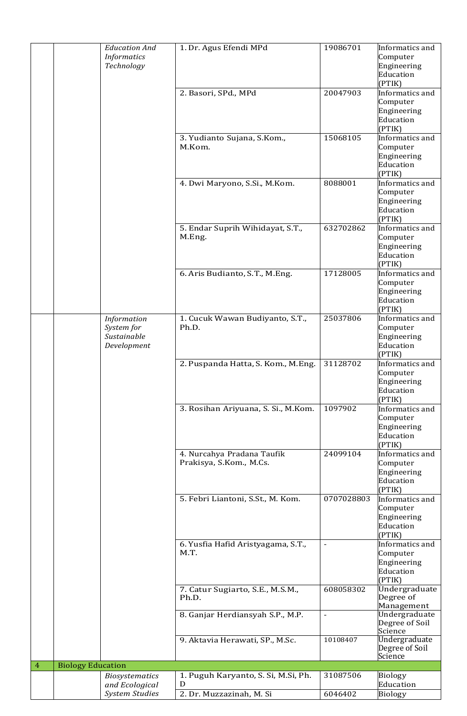|                |                          | <b>Education And</b><br><b>Informatics</b><br>Technology | 1. Dr. Agus Efendi MPd                                               | 19086701                 | Informatics and<br>Computer<br>Engineering<br>Education<br>(PTIK) |
|----------------|--------------------------|----------------------------------------------------------|----------------------------------------------------------------------|--------------------------|-------------------------------------------------------------------|
|                |                          |                                                          | 2. Basori, SPd., MPd                                                 | 20047903                 | Informatics and<br>Computer<br>Engineering<br>Education<br>(PTIK) |
|                |                          |                                                          | 3. Yudianto Sujana, S.Kom.,<br>M.Kom.                                | 15068105                 | Informatics and<br>Computer<br>Engineering<br>Education<br>(PTIK) |
|                |                          |                                                          | 4. Dwi Maryono, S.Si., M.Kom.                                        | 8088001                  | Informatics and<br>Computer<br>Engineering<br>Education<br>(PTIK) |
|                |                          |                                                          | 5. Endar Suprih Wihidayat, S.T.,<br>M.Eng.                           | 632702862                | Informatics and<br>Computer<br>Engineering<br>Education<br>(PTIK) |
|                |                          |                                                          | 6. Aris Budianto, S.T., M.Eng.                                       | 17128005                 | Informatics and<br>Computer<br>Engineering<br>Education<br>(PTIK) |
|                |                          | Information<br>System for<br>Sustainable<br>Development  | 1. Cucuk Wawan Budiyanto, S.T.,<br>Ph.D.                             | 25037806                 | Informatics and<br>Computer<br>Engineering<br>Education<br>(PTIK) |
|                |                          |                                                          | 2. Puspanda Hatta, S. Kom., M.Eng.                                   | 31128702                 | Informatics and<br>Computer<br>Engineering<br>Education<br>(PTIK) |
|                |                          |                                                          | 3. Rosihan Ariyuana, S. Si., M.Kom.                                  | 1097902                  | Informatics and<br>Computer<br>Engineering<br>Education<br>(PTIK) |
|                |                          |                                                          | 4. Nurcahya Pradana Taufik<br>Prakisya, S.Kom., M.Cs.                | 24099104                 | Informatics and<br>Computer<br>Engineering<br>Education<br>(PTIK) |
|                |                          |                                                          | 5. Febri Liantoni, S.St., M. Kom.                                    | 0707028803               | Informatics and<br>Computer<br>Engineering<br>Education<br>(PTIK) |
|                |                          |                                                          | 6. Yusfia Hafid Aristyagama, S.T.,<br>M.T.                           |                          | Informatics and<br>Computer<br>Engineering<br>Education<br>(PTIK) |
|                |                          |                                                          | 7. Catur Sugiarto, S.E., M.S.M.,<br>Ph.D.                            | 608058302                | Undergraduate<br>Degree of<br>Management                          |
|                |                          |                                                          | 8. Ganjar Herdiansyah S.P., M.P.                                     | $\overline{\phantom{a}}$ | Undergraduate<br>Degree of Soil<br>Science                        |
|                |                          |                                                          | 9. Aktavia Herawati, SP., M.Sc.                                      | 10108407                 | Undergraduate<br>Degree of Soil<br>Science                        |
| $\overline{4}$ | <b>Biology Education</b> |                                                          |                                                                      |                          |                                                                   |
|                |                          | <b>Biosystematics</b><br>and Ecological                  | 1. Puguh Karyanto, S. Si, M.Si, Ph.<br>D<br>2. Dr. Muzzazinah, M. Si | 31087506<br>6046402      | <b>Biology</b><br>Education<br><b>Biology</b>                     |
|                |                          | <b>System Studies</b>                                    |                                                                      |                          |                                                                   |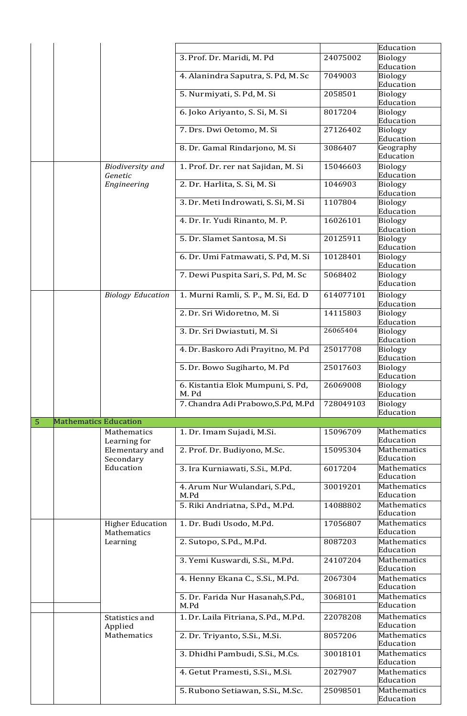|   |                              |                                        |                                            |           | Education                             |
|---|------------------------------|----------------------------------------|--------------------------------------------|-----------|---------------------------------------|
|   |                              |                                        | 3. Prof. Dr. Maridi, M. Pd                 | 24075002  | <b>Biology</b><br>Education           |
|   |                              |                                        | 4. Alanindra Saputra, S. Pd, M. Sc         | 7049003   | Biology<br>Education                  |
|   |                              |                                        | 5. Nurmiyati, S. Pd, M. Si                 | 2058501   | Biology<br>Education                  |
|   |                              |                                        | 6. Joko Ariyanto, S. Si, M. Si             | 8017204   | Biology<br>Education                  |
|   |                              |                                        | 7. Drs. Dwi Oetomo, M. Si                  | 27126402  | Biology<br>Education                  |
|   |                              |                                        | 8. Dr. Gamal Rindarjono, M. Si             | 3086407   | Geography<br>Education                |
|   |                              | <b>Biodiversity</b> and<br>Genetic     | 1. Prof. Dr. rer nat Sajidan, M. Si        | 15046603  | Biology<br>Education                  |
|   |                              | Engineering                            | 2. Dr. Harlita, S. Si, M. Si               | 1046903   | Biology<br>Education                  |
|   |                              |                                        | 3. Dr. Meti Indrowati, S. Si, M. Si        | 1107804   | Biology<br>Education                  |
|   |                              |                                        | 4. Dr. Ir. Yudi Rinanto, M. P.             | 16026101  | Biology<br>Education                  |
|   |                              |                                        | 5. Dr. Slamet Santosa, M. Si               | 20125911  | Biology<br>Education                  |
|   |                              |                                        | 6. Dr. Umi Fatmawati, S. Pd, M. Si         | 10128401  | Biology<br>Education                  |
|   |                              |                                        | 7. Dewi Puspita Sari, S. Pd, M. Sc         | 5068402   | Biology<br>Education                  |
|   |                              | <b>Biology Education</b>               | 1. Murni Ramli, S. P., M. Si, Ed. D        | 614077101 | Biology<br>Education                  |
|   |                              |                                        | 2. Dr. Sri Widoretno, M. Si                | 14115803  | Biology<br>Education                  |
|   |                              |                                        | 3. Dr. Sri Dwiastuti, M. Si                | 26065404  | Biology<br>Education                  |
|   |                              |                                        | 4. Dr. Baskoro Adi Prayitno, M. Pd         | 25017708  | Biology<br>Education                  |
|   |                              |                                        | 5. Dr. Bowo Sugiharto, M. Pd               | 25017603  | Biology<br>Education                  |
|   |                              |                                        | 6. Kistantia Elok Mumpuni, S. Pd,<br>M. Pd | 26069008  | Biology<br>Education                  |
|   |                              |                                        | 7. Chandra Adi Prabowo, S.Pd, M.Pd         | 728049103 | Biology<br>Education                  |
| 5 | <b>Mathematics Education</b> |                                        |                                            |           |                                       |
|   |                              | Mathematics<br>Learning for            | 1. Dr. Imam Sujadi, M.Si.                  | 15096709  | Mathematics<br>Education              |
|   |                              | Elementary and<br>Secondary            | 2. Prof. Dr. Budiyono, M.Sc.               | 15095304  | Mathematics<br>Education              |
|   |                              | Education                              | 3. Ira Kurniawati, S.Si., M.Pd.            | 6017204   | Mathematics<br>Education              |
|   |                              |                                        | 4. Arum Nur Wulandari, S.Pd.,<br>M.Pd      | 30019201  | Mathematics<br>Education              |
|   |                              |                                        | 5. Riki Andriatna, S.Pd., M.Pd.            | 14088802  | <b>Mathematics</b><br>Education       |
|   |                              | <b>Higher Education</b><br>Mathematics | 1. Dr. Budi Usodo, M.Pd.                   | 17056807  | Mathematics<br>Education              |
|   |                              | Learning                               | 2. Sutopo, S.Pd., M.Pd.                    | 8087203   | <b>Mathematics</b><br>Education       |
|   |                              |                                        | 3. Yemi Kuswardi, S.Si., M.Pd.             | 24107204  | Mathematics<br>Education              |
|   |                              |                                        | 4. Henny Ekana C., S.Si., M.Pd.            | 2067304   | Mathematics<br>Education              |
|   |                              |                                        | 5. Dr. Farida Nur Hasanah, S.Pd.,<br>M.Pd  | 3068101   | Mathematics<br>Education              |
|   |                              | Statistics and                         | 1. Dr. Laila Fitriana, S.Pd., M.Pd.        | 22078208  | Mathematics                           |
|   |                              | Applied<br>Mathematics                 | 2. Dr. Triyanto, S.Si., M.Si.              | 8057206   | Education<br>Mathematics              |
|   |                              |                                        |                                            | 30018101  | Education<br>Mathematics              |
|   |                              |                                        | 3. Dhidhi Pambudi, S.Si., M.Cs.            |           |                                       |
|   |                              |                                        | 4. Getut Pramesti, S.Si., M.Si.            | 2027907   | Education<br>Mathematics<br>Education |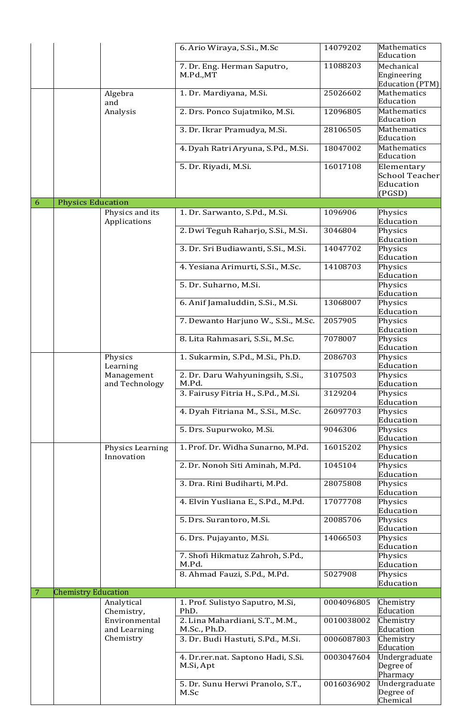|   |                            |                                 | 6. Ario Wiraya, S.Si., M.Sc                     | 14079202   | Mathematics<br>Education                     |
|---|----------------------------|---------------------------------|-------------------------------------------------|------------|----------------------------------------------|
|   |                            |                                 | 7. Dr. Eng. Herman Saputro,<br>M.Pd.,MT         | 11088203   | Mechanical<br>Engineering<br>Education (PTM) |
|   |                            | Algebra<br>and                  | 1. Dr. Mardiyana, M.Si.                         | 25026602   | Mathematics<br>Education                     |
|   |                            | Analysis                        | 2. Drs. Ponco Sujatmiko, M.Si.                  | 12096805   | Mathematics<br>Education                     |
|   |                            |                                 | 3. Dr. Ikrar Pramudya, M.Si.                    | 28106505   | Mathematics<br>Education                     |
|   |                            |                                 | 4. Dyah Ratri Aryuna, S.Pd., M.Si.              | 18047002   | Mathematics<br>Education                     |
|   |                            |                                 | 5. Dr. Riyadi, M.Si.                            | 16017108   | Elementary<br><b>School Teacher</b>          |
|   |                            |                                 |                                                 |            | Education<br>(PGSD)                          |
| 6 | <b>Physics Education</b>   |                                 |                                                 |            |                                              |
|   |                            | Physics and its<br>Applications | 1. Dr. Sarwanto, S.Pd., M.Si.                   | 1096906    | Physics<br>Education                         |
|   |                            |                                 | 2. Dwi Teguh Raharjo, S.Si., M.Si.              | 3046804    | Physics<br>Education                         |
|   |                            |                                 | 3. Dr. Sri Budiawanti, S.Si., M.Si.             | 14047702   | Physics<br>Education                         |
|   |                            |                                 | 4. Yesiana Arimurti, S.Si., M.Sc.               | 14108703   | Physics<br>Education                         |
|   |                            |                                 | 5. Dr. Suharno, M.Si.                           |            | Physics<br>Education                         |
|   |                            |                                 | 6. Anif Jamaluddin, S.Si., M.Si.                | 13068007   | Physics<br>Education                         |
|   |                            |                                 | 7. Dewanto Harjuno W., S.Si., M.Sc.             | 2057905    | Physics<br>Education                         |
|   |                            |                                 | 8. Lita Rahmasari, S.Si., M.Sc.                 | 7078007    | Physics<br>Education                         |
|   |                            | Physics<br>Learning             | 1. Sukarmin, S.Pd., M.Si., Ph.D.                | 2086703    | Physics<br>Education                         |
|   |                            | Management                      | 2. Dr. Daru Wahyuningsih, S.Si.,<br>M.Pd.       | 3107503    | Physics<br>Education                         |
|   |                            | and Technology                  | 3. Fairusy Fitria H., S.Pd., M.Si.              | 3129204    | Physics<br>Education                         |
|   |                            |                                 | 4. Dyah Fitriana M., S.Si., M.Sc.               | 26097703   | Physics<br>Education                         |
|   |                            |                                 | 5. Drs. Supurwoko, M.Si.                        | 9046306    | Physics<br>Education                         |
|   |                            | Physics Learning<br>Innovation  | 1. Prof. Dr. Widha Sunarno, M.Pd.               | 16015202   | Physics<br>Education                         |
|   |                            |                                 | 2. Dr. Nonoh Siti Aminah, M.Pd.                 | 1045104    | Physics<br>Education                         |
|   |                            |                                 | 3. Dra. Rini Budiharti, M.Pd.                   | 28075808   | Physics<br>Education                         |
|   |                            |                                 | 4. Elvin Yusliana E., S.Pd., M.Pd.              | 17077708   | Physics<br>Education                         |
|   |                            |                                 | 5. Drs. Surantoro, M.Si.                        | 20085706   | Physics<br>Education                         |
|   |                            |                                 | 6. Drs. Pujayanto, M.Si.                        | 14066503   | Physics<br>Education                         |
|   |                            |                                 | 7. Shofi Hikmatuz Zahroh, S.Pd.,<br>M.Pd.       |            | Physics<br>Education                         |
|   |                            |                                 | 8. Ahmad Fauzi, S.Pd., M.Pd.                    | 5027908    | Physics<br>Education                         |
| 7 | <b>Chemistry Education</b> |                                 |                                                 |            |                                              |
|   |                            | Analytical<br>Chemistry,        | 1. Prof. Sulistyo Saputro, M.Si,<br>PhD.        | 0004096805 | Chemistry<br>Education                       |
|   |                            | Environmental<br>and Learning   | 2. Lina Mahardiani, S.T., M.M.,<br>M.Sc., Ph.D. | 0010038002 | Chemistry<br>Education                       |
|   |                            | Chemistry                       | 3. Dr. Budi Hastuti, S.Pd., M.Si.               | 0006087803 | Chemistry<br>Education                       |
|   |                            |                                 | 4. Dr.rer.nat. Saptono Hadi, S.Si.<br>M.Si, Apt | 0003047604 | Undergraduate<br>Degree of<br>Pharmacy       |
|   |                            |                                 | 5. Dr. Sunu Herwi Pranolo, S.T.,<br>M.Sc        | 0016036902 | Undergraduate<br>Degree of<br>Chemical       |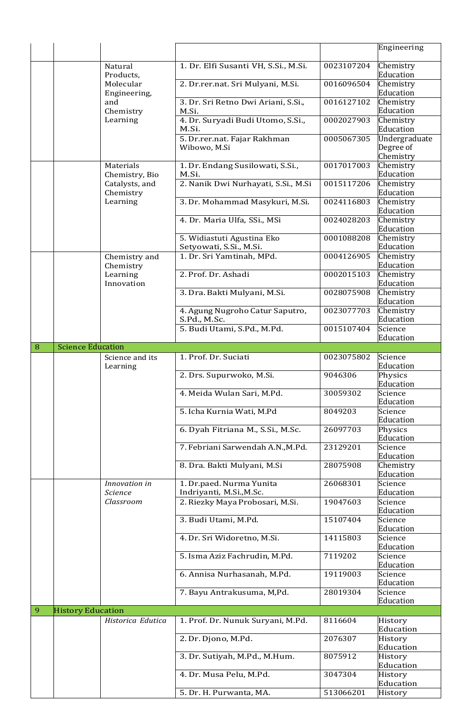|   |                           |                                   |                                                       |                        | Engineering                             |
|---|---------------------------|-----------------------------------|-------------------------------------------------------|------------------------|-----------------------------------------|
|   |                           |                                   |                                                       |                        |                                         |
|   |                           | Natural<br>Products,              | 1. Dr. Elfi Susanti VH, S.Si., M.Si.                  | 0023107204             | Chemistry<br>Education                  |
|   | Molecular<br>Engineering, | 2. Dr.rer.nat. Sri Mulyani, M.Si. | 0016096504                                            | Chemistry<br>Education |                                         |
|   |                           | and<br>Chemistry                  | 3. Dr. Sri Retno Dwi Ariani, S.Si.,<br>M.Si.          | 0016127102             | Chemistry<br>Education                  |
|   |                           | Learning                          | 4. Dr. Suryadi Budi Utomo, S.Si.,<br>M.Si.            | 0002027903             | Chemistry<br>Education                  |
|   |                           |                                   | 5. Dr.rer.nat. Fajar Rakhman<br>Wibowo, M.Si          | 0005067305             | Undergraduate<br>Degree of<br>Chemistry |
|   |                           | Materials<br>Chemistry, Bio       | 1. Dr. Endang Susilowati, S.Si.,<br>M.Si.             | 0017017003             | Chemistry<br>Education                  |
|   |                           | Catalysts, and<br>Chemistry       | 2. Nanik Dwi Nurhayati, S.Si., M.Si                   | 0015117206             | Chemistry<br>Education                  |
|   |                           | Learning                          | 3. Dr. Mohammad Masykuri, M.Si.                       | 0024116803             | Chemistry<br>Education                  |
|   |                           |                                   | 4. Dr. Maria Ulfa, SSi., MSi                          | 0024028203             | Chemistry<br>Education                  |
|   |                           |                                   | 5. Widiastuti Agustina Eko<br>Setyowati, S.Si., M.Si. | 0001088208             | Chemistry<br>Education                  |
|   |                           | Chemistry and<br>Chemistry        | 1. Dr. Sri Yamtinah, MPd.                             | 0004126905             | Chemistry<br>Education                  |
|   |                           | Learning<br>Innovation            | 2. Prof. Dr. Ashadi                                   | 0002015103             | Chemistry<br>Education                  |
|   |                           |                                   | 3. Dra. Bakti Mulyani, M.Si.                          | 0028075908             | Chemistry<br>Education                  |
|   |                           |                                   | 4. Agung Nugroho Catur Saputro,<br>S.Pd., M.Sc.       | 0023077703             | Chemistry<br>Education                  |
|   |                           |                                   | 5. Budi Utami, S.Pd., M.Pd.                           | 0015107404             | Science<br>Education                    |
| 8 | <b>Science Education</b>  |                                   |                                                       |                        |                                         |
|   |                           | Science and its<br>Learning       | 1. Prof. Dr. Suciati                                  | 0023075802             | Science<br>Education                    |
|   |                           |                                   | 2. Drs. Supurwoko, M.Si.                              | 9046306                | Physics<br>Education                    |
|   |                           | 4. Meida Wulan Sari, M.Pd.        | 30059302                                              | Science                |                                         |
|   |                           |                                   |                                                       |                        | Education                               |
|   |                           |                                   | 5. Icha Kurnia Wati, M.Pd                             | 8049203                | Science<br>Education                    |
|   |                           |                                   | 6. Dyah Fitriana M., S.Si., M.Sc.                     | 26097703               | Physics<br>Education                    |
|   |                           |                                   | 7. Febriani Sarwendah A.N., M.Pd.                     | 23129201               | Science<br>Education                    |
|   |                           |                                   | 8. Dra. Bakti Mulyani, M.Si                           | 28075908               | Chemistry<br>Education                  |
|   |                           | Innovation in<br>Science          | 1. Dr.paed. Nurma Yunita<br>Indriyanti, M.Si., M.Sc.  | 26068301               | Science<br>Education                    |
|   |                           | Classroom                         | 2. Riezky Maya Probosari, M.Si.                       | 19047603               | Science<br>Education                    |
|   |                           |                                   | 3. Budi Utami, M.Pd.                                  | 15107404               | Science<br>Education                    |
|   |                           |                                   | 4. Dr. Sri Widoretno, M.Si.                           | 14115803               | Science<br>Education                    |
|   |                           |                                   | 5. Isma Aziz Fachrudin, M.Pd.                         | 7119202                | Science<br>Education                    |
|   |                           |                                   | 6. Annisa Nurhasanah, M.Pd.                           | 19119003               | Science<br>Education                    |
|   |                           |                                   | 7. Bayu Antrakusuma, M,Pd.                            | 28019304               | Science<br>Education                    |
| 9 | <b>History Education</b>  |                                   |                                                       |                        |                                         |
|   |                           | Historica Edutica                 | 1. Prof. Dr. Nunuk Suryani, M.Pd.                     | 8116604                | History<br>Education                    |
|   |                           |                                   | 2. Dr. Djono, M.Pd.                                   | 2076307                | History<br>Education                    |
|   |                           |                                   | 3. Dr. Sutiyah, M.Pd., M.Hum.                         | 8075912                | History<br>Education                    |
|   |                           |                                   | 4. Dr. Musa Pelu, M.Pd.                               | 3047304                | History<br>Education                    |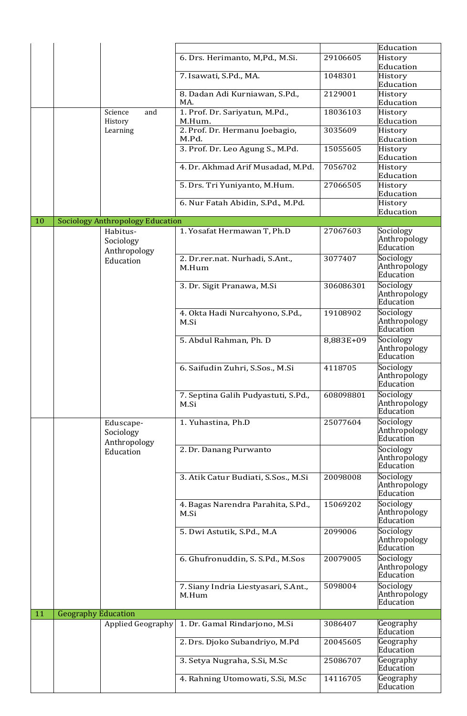|    |                            |                                         |                                               |           | Education                              |
|----|----------------------------|-----------------------------------------|-----------------------------------------------|-----------|----------------------------------------|
|    |                            |                                         | 6. Drs. Herimanto, M,Pd., M.Si.               | 29106605  | History<br>Education                   |
|    |                            |                                         | 7. Isawati, S.Pd., MA.                        | 1048301   | History<br>Education                   |
|    |                            |                                         | 8. Dadan Adi Kurniawan, S.Pd.,<br>MA.         | 2129001   | History<br>Education                   |
|    |                            | Science<br>and<br>History               | 1. Prof. Dr. Sariyatun, M.Pd.,<br>M.Hum.      | 18036103  | History<br>Education                   |
|    |                            | Learning                                | 2. Prof. Dr. Hermanu Joebagio,<br>M.Pd.       | 3035609   | History<br>Education                   |
|    |                            |                                         | 3. Prof. Dr. Leo Agung S., M.Pd.              | 15055605  | History<br>Education                   |
|    |                            |                                         | 4. Dr. Akhmad Arif Musadad, M.Pd.             | 7056702   | History<br>Education                   |
|    |                            |                                         | 5. Drs. Tri Yuniyanto, M.Hum.                 | 27066505  | History<br>Education                   |
|    |                            |                                         | 6. Nur Fatah Abidin, S.Pd., M.Pd.             |           | History<br>Education                   |
| 10 |                            | <b>Sociology Anthropology Education</b> |                                               |           |                                        |
|    |                            | Habitus-<br>Sociology<br>Anthropology   | 1. Yosafat Hermawan T, Ph.D                   | 27067603  | Sociology<br>Anthropology<br>Education |
|    |                            | Education                               | 2. Dr.rer.nat. Nurhadi, S.Ant.,<br>M.Hum      | 3077407   | Sociology<br>Anthropology<br>Education |
|    |                            |                                         | 3. Dr. Sigit Pranawa, M.Si                    | 306086301 | Sociology<br>Anthropology<br>Education |
|    |                            |                                         | 4. Okta Hadi Nurcahyono, S.Pd.,<br>M.Si       | 19108902  | Sociology<br>Anthropology<br>Education |
|    |                            |                                         | 5. Abdul Rahman, Ph. D                        | 8,883E+09 | Sociology<br>Anthropology<br>Education |
|    |                            |                                         | 6. Saifudin Zuhri, S.Sos., M.Si               | 4118705   | Sociology<br>Anthropology<br>Education |
|    |                            |                                         | 7. Septina Galih Pudyastuti, S.Pd.,<br>M.Si   | 608098801 | Sociology<br>Anthropology<br>Education |
|    |                            | Eduscape-<br>Sociology<br>Anthropology  | 1. Yuhastina, Ph.D                            | 25077604  | Sociology<br>Anthropology<br>Education |
|    |                            | Education                               | 2. Dr. Danang Purwanto                        |           | Sociology<br>Anthropology<br>Education |
|    |                            |                                         | 3. Atik Catur Budiati, S.Sos., M.Si           | 20098008  | Sociology<br>Anthropology<br>Education |
|    |                            |                                         | 4. Bagas Narendra Parahita, S.Pd.,<br>M.Si    | 15069202  | Sociology<br>Anthropology<br>Education |
|    |                            |                                         | 5. Dwi Astutik, S.Pd., M.A                    | 2099006   | Sociology<br>Anthropology<br>Education |
|    |                            |                                         | 6. Ghufronuddin, S. S.Pd., M.Sos              | 20079005  | Sociology<br>Anthropology<br>Education |
|    |                            |                                         | 7. Siany Indria Liestyasari, S.Ant.,<br>M.Hum | 5098004   | Sociology<br>Anthropology<br>Education |
| 11 | <b>Geography Education</b> |                                         |                                               |           |                                        |
|    |                            | Applied Geography                       | 1. Dr. Gamal Rindarjono, M.Si                 | 3086407   | Geography<br>Education                 |
|    |                            |                                         | 2. Drs. Djoko Subandriyo, M.Pd                | 20045605  | Geography<br>Education                 |
|    |                            |                                         | 3. Setya Nugraha, S.Si, M.Sc                  | 25086707  | Geography<br>Education                 |
|    |                            |                                         | 4. Rahning Utomowati, S.Si, M.Sc              | 14116705  | Geography<br>Education                 |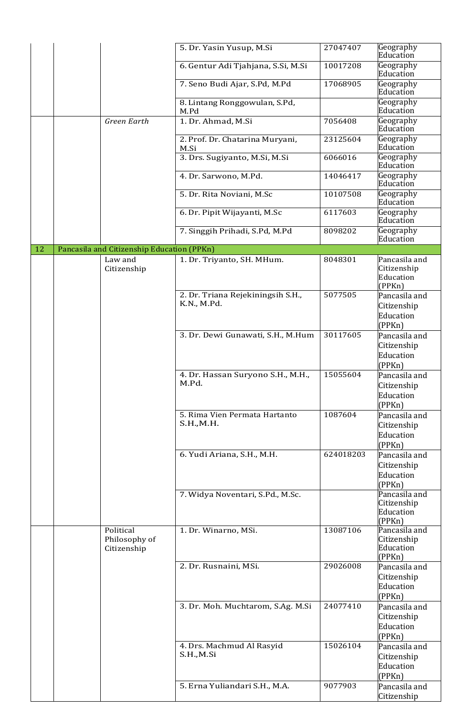|    |                                            | 5. Dr. Yasin Yusup, M.Si                         | 27047407  | Geography<br>Education                              |
|----|--------------------------------------------|--------------------------------------------------|-----------|-----------------------------------------------------|
|    |                                            | 6. Gentur Adi Tjahjana, S.Si, M.Si               | 10017208  | Geography<br>Education                              |
|    |                                            | 7. Seno Budi Ajar, S.Pd, M.Pd                    | 17068905  | Geography<br>Education                              |
|    |                                            | 8. Lintang Ronggowulan, S.Pd,<br>M.Pd            |           | Geography<br>Education                              |
|    | <b>Green Earth</b>                         | 1. Dr. Ahmad, M.Si                               | 7056408   | Geography<br>Education                              |
|    |                                            | 2. Prof. Dr. Chatarina Muryani,<br>M.Si          | 23125604  | Geography<br>Education                              |
|    |                                            | 3. Drs. Sugiyanto, M.Si, M.Si                    | 6066016   | Geography<br>Education                              |
|    |                                            | 4. Dr. Sarwono, M.Pd.                            | 14046417  | Geography<br>Education                              |
|    |                                            | 5. Dr. Rita Noviani, M.Sc                        | 10107508  | Geography<br>Education                              |
|    |                                            | 6. Dr. Pipit Wijayanti, M.Sc                     | 6117603   | Geography<br>Education                              |
|    |                                            | 7. Singgih Prihadi, S.Pd, M.Pd                   | 8098202   | Geography<br>Education                              |
| 12 | Pancasila and Citizenship Education (PPKn) |                                                  |           |                                                     |
|    | Law and<br>Citizenship                     | 1. Dr. Triyanto, SH. MHum.                       | 8048301   | Pancasila and<br>Citizenship<br>Education<br>(PPKn) |
|    |                                            | 2. Dr. Triana Rejekiningsih S.H.,<br>K.N., M.Pd. | 5077505   | Pancasila and<br>Citizenship<br>Education<br>(PPKn) |
|    |                                            | 3. Dr. Dewi Gunawati, S.H., M.Hum                | 30117605  | Pancasila and<br>Citizenship<br>Education<br>(PPKn) |
|    |                                            | 4. Dr. Hassan Suryono S.H., M.H.,<br>M.Pd.       | 15055604  | Pancasila and<br>Citizenship<br>Education<br>(PPKn) |
|    |                                            | 5. Rima Vien Permata Hartanto<br>S.H., M.H.      | 1087604   | Pancasila and<br>Citizenship<br>Education<br>(PPKn) |
|    |                                            | 6. Yudi Ariana, S.H., M.H.                       | 624018203 | Pancasila and<br>Citizenship<br>Education<br>(PPKn) |
|    |                                            | 7. Widya Noventari, S.Pd., M.Sc.                 |           | Pancasila and<br>Citizenship<br>Education<br>(PPKn) |
|    | Political<br>Philosophy of<br>Citizenship  | 1. Dr. Winarno, MSi.                             | 13087106  | Pancasila and<br>Citizenship<br>Education<br>(PPKn) |
|    |                                            | 2. Dr. Rusnaini, MSi.                            | 29026008  | Pancasila and<br>Citizenship<br>Education<br>(PPKn) |
|    |                                            | 3. Dr. Moh. Muchtarom, S.Ag. M.Si                | 24077410  | Pancasila and<br>Citizenship<br>Education<br>(PPKn) |
|    |                                            | 4. Drs. Machmud Al Rasyid<br>S.H.,M.Si           | 15026104  | Pancasila and<br>Citizenship<br>Education<br>(PPKn) |
|    |                                            | 5. Erna Yuliandari S.H., M.A.                    | 9077903   | Pancasila and<br>Citizenship                        |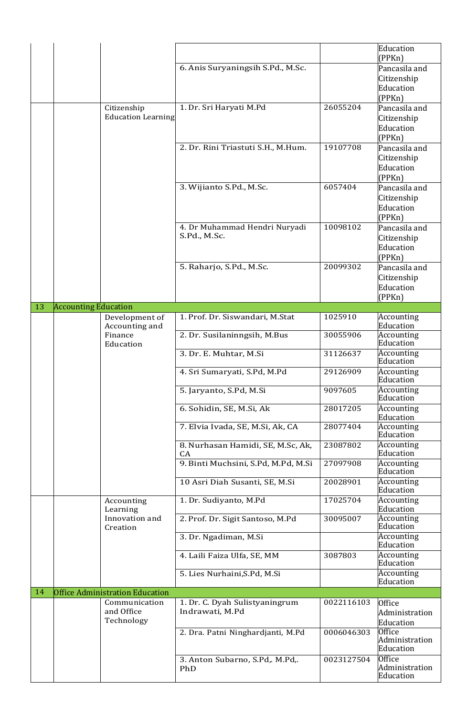|    |                             |                                                         |                                         |            | Education<br>(PPKn)                          |
|----|-----------------------------|---------------------------------------------------------|-----------------------------------------|------------|----------------------------------------------|
|    |                             |                                                         | 6. Anis Suryaningsih S.Pd., M.Sc.       |            | Pancasila and                                |
|    |                             |                                                         |                                         |            | Citizenship<br>Education                     |
|    |                             |                                                         |                                         |            | (PPKn)                                       |
|    |                             | Citizenship<br><b>Education Learning</b>                | 1. Dr. Sri Haryati M.Pd                 | 26055204   | Pancasila and<br>Citizenship                 |
|    |                             |                                                         |                                         |            | Education                                    |
|    |                             |                                                         |                                         |            | (PPKn)                                       |
|    |                             |                                                         | 2. Dr. Rini Triastuti S.H., M.Hum.      | 19107708   | Pancasila and<br>Citizenship                 |
|    |                             |                                                         |                                         |            | Education                                    |
|    |                             |                                                         |                                         | 6057404    | (PPKn)                                       |
|    |                             |                                                         | 3. Wijianto S.Pd., M.Sc.                |            | Pancasila and<br>Citizenship                 |
|    |                             |                                                         |                                         |            | Education                                    |
|    |                             |                                                         | 4. Dr Muhammad Hendri Nuryadi           | 10098102   | (PPKn)<br>Pancasila and                      |
|    |                             |                                                         | S.Pd., M.Sc.                            |            | Citizenship                                  |
|    |                             |                                                         |                                         |            | Education                                    |
|    |                             |                                                         | 5. Raharjo, S.Pd., M.Sc.                | 20099302   | (PPKn)<br>Pancasila and                      |
|    |                             |                                                         |                                         |            | Citizenship                                  |
|    |                             |                                                         |                                         |            | Education                                    |
| 13 | <b>Accounting Education</b> |                                                         |                                         |            | (PPKn)                                       |
|    |                             | Development of                                          | 1. Prof. Dr. Siswandari, M.Stat         | 1025910    | Accounting<br>Education                      |
|    |                             | Accounting and<br>Finance                               | 2. Dr. Susilaninngsih, M.Bus            | 30055906   | Accounting                                   |
|    |                             | Education                                               | 3. Dr. E. Muhtar, M.Si                  | 31126637   | Education<br>Accounting                      |
|    |                             |                                                         |                                         |            | Education                                    |
|    |                             |                                                         | 4. Sri Sumaryati, S.Pd, M.Pd            | 29126909   | Accounting<br>Education                      |
|    |                             |                                                         | 5. Jaryanto, S.Pd, M.Si                 | 9097605    | Accounting<br>Education                      |
|    |                             |                                                         | 6. Sohidin, SE, M.Si, Ak                | 28017205   | Accounting<br>Education                      |
|    |                             |                                                         | 7. Elvia Ivada, SE, M.Si, Ak, CA        | 28077404   | Accounting<br>Education                      |
|    |                             |                                                         | 8. Nurhasan Hamidi, SE, M.Sc, Ak,<br>CA | 23087802   | Accounting<br>Education                      |
|    |                             |                                                         | 9. Binti Muchsini, S.Pd, M.Pd, M.Si     | 27097908   | Accounting<br>Education                      |
|    |                             |                                                         | 10 Asri Diah Susanti, SE, M.Si          | 20028901   | Accounting<br>Education                      |
|    |                             | Accounting<br>Learning                                  | 1. Dr. Sudiyanto, M.Pd                  | 17025704   | Accounting<br>Education                      |
|    |                             | Innovation and<br>Creation                              | 2. Prof. Dr. Sigit Santoso, M.Pd        | 30095007   | Accounting<br>Education                      |
|    |                             |                                                         | 3. Dr. Ngadiman, M.Si                   |            | Accounting<br>Education                      |
|    |                             |                                                         | 4. Laili Faiza Ulfa, SE, MM             | 3087803    | Accounting<br>Education                      |
|    |                             |                                                         | 5. Lies Nurhaini, S.Pd, M.Si            |            | Accounting<br>Education                      |
| 14 |                             | <b>Office Administration Education</b><br>Communication | 1. Dr. C. Dyah Sulistyaningrum          | 0022116103 | Office                                       |
|    |                             | and Office<br>Technology                                | Indrawati, M.Pd                         |            | Administration<br>Education                  |
|    |                             |                                                         | 2. Dra. Patni Ninghardjanti, M.Pd       | 0006046303 | <b>Office</b><br>Administration<br>Education |
|    |                             |                                                         | 3. Anton Subarno, S.Pd,. M.Pd,.         | 0023127504 | Office                                       |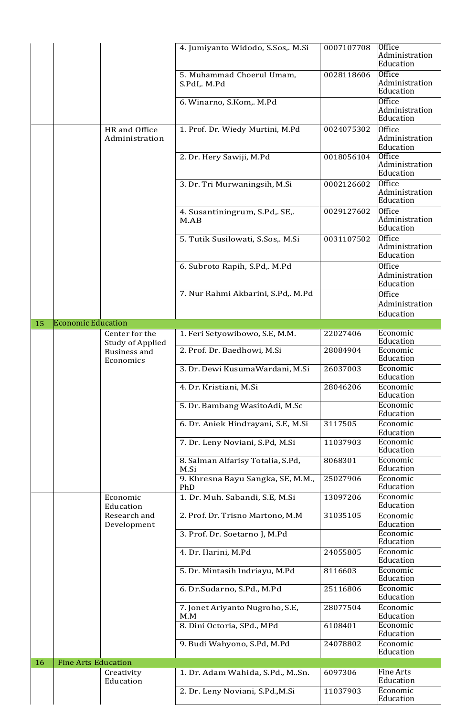|    |                            |                                                             | 4. Jumiyanto Widodo, S.Sos,. M.Si         | 0007107708 | <b>Office</b><br>Administration<br>Education |
|----|----------------------------|-------------------------------------------------------------|-------------------------------------------|------------|----------------------------------------------|
|    |                            |                                                             | 5. Muhammad Choerul Umam,<br>S.PdI,. M.Pd | 0028118606 | <b>Office</b><br>Administration<br>Education |
|    |                            |                                                             | 6. Winarno, S.Kom,. M.Pd                  |            | <b>Office</b><br>Administration<br>Education |
|    |                            | HR and Office<br>Administration                             | 1. Prof. Dr. Wiedy Murtini, M.Pd          | 0024075302 | <b>Office</b><br>Administration<br>Education |
|    |                            |                                                             | 2. Dr. Hery Sawiji, M.Pd                  | 0018056104 | <b>Office</b><br>Administration<br>Education |
|    |                            |                                                             | 3. Dr. Tri Murwaningsih, M.Si             | 0002126602 | <b>Office</b><br>Administration<br>Education |
|    |                            |                                                             | 4. Susantiningrum, S.Pd, SE,<br>M.AB      | 0029127602 | <b>Office</b><br>Administration<br>Education |
|    |                            |                                                             | 5. Tutik Susilowati, S.Sos,. M.Si         | 0031107502 | <b>Office</b><br>Administration<br>Education |
|    |                            |                                                             | 6. Subroto Rapih, S.Pd,. M.Pd             |            | <b>Office</b><br>Administration<br>Education |
|    |                            |                                                             | 7. Nur Rahmi Akbarini, S.Pd,. M.Pd        |            | Office<br>Administration<br>Education        |
| 15 | <b>Economic Education</b>  |                                                             |                                           |            |                                              |
|    |                            | Center for the                                              | 1. Feri Setyowibowo, S.E, M.M.            | 22027406   | Economic<br>Education                        |
|    |                            | <b>Study of Applied</b><br><b>Business and</b><br>Economics | 2. Prof. Dr. Baedhowi, M.Si               | 28084904   | Economic<br>Education                        |
|    |                            |                                                             | 3. Dr. Dewi KusumaWardani, M.Si           | 26037003   | Economic<br>Education                        |
|    |                            |                                                             | 4. Dr. Kristiani, M.Si                    | 28046206   | Economic<br>Education                        |
|    |                            |                                                             | 5. Dr. Bambang WasitoAdi, M.Sc            |            | Economic<br>Education                        |
|    |                            |                                                             | 6. Dr. Aniek Hindrayani, S.E, M.Si        | 3117505    | Economic<br>Education                        |
|    |                            |                                                             | 7. Dr. Leny Noviani, S.Pd, M.Si           | 11037903   | Economic<br>Education                        |
|    |                            |                                                             | 8. Salman Alfarisy Totalia, S.Pd,<br>M.Si | 8068301    | Economic<br>Education                        |
|    |                            |                                                             | 9. Khresna Bayu Sangka, SE, M.M.,<br>PhD  | 25027906   | Economic<br>Education                        |
|    |                            | Economic<br>Education                                       | 1. Dr. Muh. Sabandi, S.E, M.Si            | 13097206   | Economic<br>Education                        |
|    |                            | Research and<br>Development                                 | 2. Prof. Dr. Trisno Martono, M.M          | 31035105   | Economic<br>Education                        |
|    |                            |                                                             | 3. Prof. Dr. Soetarno J, M.Pd             |            | Economic<br>Education                        |
|    |                            |                                                             | 4. Dr. Harini, M.Pd                       | 24055805   | Economic<br>Education                        |
|    |                            |                                                             | 5. Dr. Mintasih Indriayu, M.Pd            | 8116603    | Economic<br>Education                        |
|    |                            |                                                             | 6. Dr.Sudarno, S.Pd., M.Pd                | 25116806   | Economic<br>Education                        |
|    |                            |                                                             | 7. Jonet Ariyanto Nugroho, S.E,<br>M.M    | 28077504   | Economic<br>Education                        |
|    |                            |                                                             | 8. Dini Octoria, SPd., MPd                | 6108401    | Economic<br>Education                        |
|    |                            |                                                             | 9. Budi Wahyono, S.Pd, M.Pd               | 24078802   | Economic<br>Education                        |
| 16 | <b>Fine Arts Education</b> |                                                             |                                           |            |                                              |
|    |                            | Creativity<br>Education                                     | 1. Dr. Adam Wahida, S.Pd., MSn.           | 6097306    | <b>Fine Arts</b><br>Education                |
|    |                            |                                                             | 2. Dr. Leny Noviani, S.Pd., M.Si          | 11037903   | Economic<br>Education                        |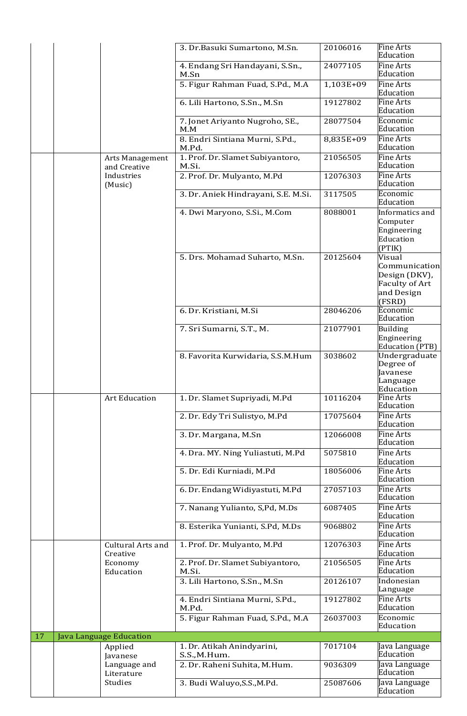|    |                                      | 3. Dr.Basuki Sumartono, M.Sn.                | 20106016  | <b>Fine Arts</b><br>Education                                                             |
|----|--------------------------------------|----------------------------------------------|-----------|-------------------------------------------------------------------------------------------|
|    |                                      | 4. Endang Sri Handayani, S.Sn.,<br>M.Sn      | 24077105  | <b>Fine Arts</b><br>Education                                                             |
|    |                                      | 5. Figur Rahman Fuad, S.Pd., M.A             | 1,103E+09 | <b>Fine Arts</b><br>Education                                                             |
|    |                                      | 6. Lili Hartono, S.Sn., M.Sn                 | 19127802  | <b>Fine Arts</b><br>Education                                                             |
|    |                                      | 7. Jonet Ariyanto Nugroho, SE.,<br>M.M       | 28077504  | Economic<br>Education                                                                     |
|    |                                      | 8. Endri Sintiana Murni, S.Pd.,<br>M.Pd.     | 8,835E+09 | <b>Fine Arts</b><br>Education                                                             |
|    | Arts Management<br>and Creative      | 1. Prof. Dr. Slamet Subiyantoro,<br>M.Si.    | 21056505  | <b>Fine Arts</b><br>Education                                                             |
|    | Industries<br>(Music)                | 2. Prof. Dr. Mulyanto, M.Pd                  | 12076303  | <b>Fine Arts</b><br>Education                                                             |
|    |                                      | 3. Dr. Aniek Hindrayani, S.E. M.Si.          | 3117505   | Economic<br>Education                                                                     |
|    |                                      | 4. Dwi Maryono, S.Si., M.Com                 | 8088001   | Informatics and<br>Computer<br>Engineering<br>Education<br>(PTIK)                         |
|    |                                      | 5. Drs. Mohamad Suharto, M.Sn.               | 20125604  | Visual<br>Communication<br>Design (DKV),<br><b>Faculty of Art</b><br>and Design<br>(FSRD) |
|    |                                      | 6. Dr. Kristiani, M.Si                       | 28046206  | Economic<br>Education                                                                     |
|    |                                      | 7. Sri Sumarni, S.T., M.                     | 21077901  | <b>Building</b><br>Engineering<br>Education (PTB)                                         |
|    |                                      | 8. Favorita Kurwidaria, S.S.M.Hum            | 3038602   | Undergraduate<br>Degree of<br>Javanese<br>Language<br>Education                           |
|    | <b>Art Education</b>                 | 1. Dr. Slamet Supriyadi, M.Pd                | 10116204  | <b>Fine Arts</b><br>Education                                                             |
|    |                                      | 2. Dr. Edy Tri Sulistyo, M.Pd                | 17075604  | <b>Fine Arts</b><br>Education                                                             |
|    |                                      | 3. Dr. Margana, M.Sn                         | 12066008  | <b>Fine Arts</b><br>Education                                                             |
|    |                                      | 4. Dra. MY. Ning Yuliastuti, M.Pd            | 5075810   | <b>Fine Arts</b><br>Education                                                             |
|    |                                      | 5. Dr. Edi Kurniadi, M.Pd                    | 18056006  | <b>Fine Arts</b><br>Education                                                             |
|    |                                      | 6. Dr. Endang Widiyastuti, M.Pd              | 27057103  | <b>Fine Arts</b><br>Education                                                             |
|    |                                      | 7. Nanang Yulianto, S,Pd, M.Ds               | 6087405   | <b>Fine Arts</b><br>Education                                                             |
|    |                                      | 8. Esterika Yunianti, S.Pd, M.Ds             | 9068802   | <b>Fine Arts</b><br>Education                                                             |
|    | <b>Cultural Arts and</b><br>Creative | 1. Prof. Dr. Mulyanto, M.Pd                  | 12076303  | <b>Fine Arts</b><br>Education                                                             |
|    | Economy<br>Education                 | 2. Prof. Dr. Slamet Subiyantoro,<br>M.Si.    | 21056505  | <b>Fine Arts</b><br>Education                                                             |
|    |                                      | 3. Lili Hartono, S.Sn., M.Sn                 | 20126107  | Indonesian<br>Language                                                                    |
|    |                                      | 4. Endri Sintiana Murni, S.Pd.,<br>M.Pd.     | 19127802  | <b>Fine Arts</b><br>Education                                                             |
|    |                                      | 5. Figur Rahman Fuad, S.Pd., M.A             | 26037003  | Economic<br>Education                                                                     |
| 17 | Java Language Education<br>Applied   | 1. Dr. Atikah Anindyarini,                   | 7017104   | Java Language                                                                             |
|    | Javanese<br>Language and             | S.S., M.Hum.<br>2. Dr. Raheni Suhita, M.Hum. | 9036309   | Education<br>Tava Language                                                                |
|    | Literature<br>Studies                | 3. Budi Waluyo, S.S., M.Pd.                  | 25087606  | Education<br>Java Language<br>Education                                                   |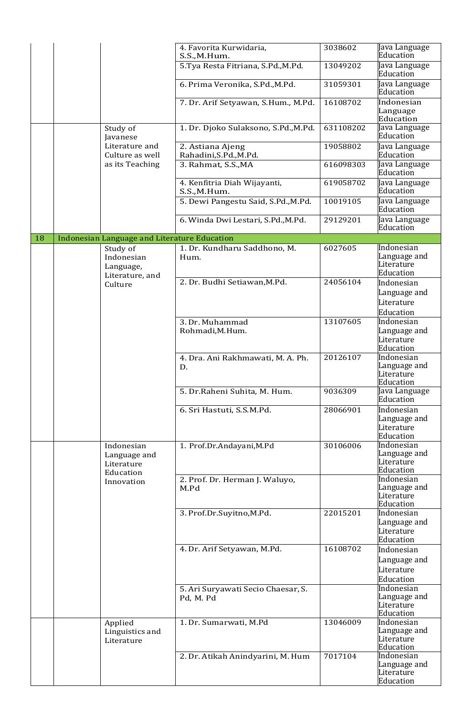|    |                                                       | 4. Favorita Kurwidaria,<br>S.S.,M.Hum.          | 3038602   | Java Language<br>Education                            |
|----|-------------------------------------------------------|-------------------------------------------------|-----------|-------------------------------------------------------|
|    |                                                       | 5.Tya Resta Fitriana, S.Pd., M.Pd.              | 13049202  | Java Language<br>Education                            |
|    |                                                       | 6. Prima Veronika, S.Pd., M.Pd.                 | 31059301  | Java Language<br>Education                            |
|    |                                                       | 7. Dr. Arif Setyawan, S.Hum., M.Pd.             | 16108702  | Indonesian<br>Language<br>Education                   |
|    | Study of<br>Javanese                                  | 1. Dr. Djoko Sulaksono, S.Pd., M.Pd.            | 631108202 | Java Language<br>Education                            |
|    | Literature and<br>Culture as well                     | 2. Astiana Ajeng<br>Rahadini, S.Pd., M.Pd.      | 19058802  | Java Language<br>Education                            |
|    | as its Teaching                                       | 3. Rahmat, S.S., MA                             | 616098303 | Java Language<br>Education                            |
|    |                                                       | 4. Kenfitria Diah Wijayanti,<br>S.S.,M.Hum.     | 619058702 | Java Language<br>Education                            |
|    |                                                       | 5. Dewi Pangestu Said, S.Pd., M.Pd.             | 10019105  | Java Language<br>Education                            |
|    |                                                       | 6. Winda Dwi Lestari, S.Pd., M.Pd.              | 29129201  | Java Language<br>Education                            |
| 18 | Indonesian Language and Literature Education          |                                                 |           |                                                       |
|    | Study of<br>Indonesian<br>Language,                   | 1. Dr. Kundharu Saddhono, M.<br>Hum.            | 6027605   | Indonesian<br>Language and<br>Literature<br>Education |
|    | Literature, and<br>Culture                            | 2. Dr. Budhi Setiawan, M.Pd.                    | 24056104  | Indonesian<br>Language and<br>Literature<br>Education |
|    |                                                       | 3. Dr. Muhammad<br>Rohmadi, M.Hum.              | 13107605  | Indonesian<br>Language and<br>Literature<br>Education |
|    |                                                       | 4. Dra. Ani Rakhmawati, M. A. Ph.<br>D.         | 20126107  | Indonesian<br>Language and<br>Literature<br>Education |
|    |                                                       | 5. Dr.Raheni Suhita, M. Hum.                    | 9036309   | Java Language<br>Education                            |
|    |                                                       | 6. Sri Hastuti, S.S.M.Pd.                       | 28066901  | Indonesian<br>Language and<br>Literature<br>Education |
|    | Indonesian<br>Language and<br>Literature<br>Education | 1. Prof.Dr.Andayani, M.Pd                       | 30106006  | Indonesian<br>Language and<br>Literature<br>Education |
|    | Innovation                                            | 2. Prof. Dr. Herman J. Waluyo,<br>M.Pd          |           | Indonesian<br>Language and<br>Literature<br>Education |
|    |                                                       | 3. Prof.Dr.Suyitno, M.Pd.                       | 22015201  | Indonesian<br>Language and<br>Literature<br>Education |
|    |                                                       | 4. Dr. Arif Setyawan, M.Pd.                     | 16108702  | Indonesian<br>Language and<br>Literature<br>Education |
|    |                                                       | 5. Ari Suryawati Secio Chaesar, S.<br>Pd, M. Pd |           | Indonesian<br>Language and<br>Literature<br>Education |
|    | Applied<br>Linguistics and<br>Literature              | 1. Dr. Sumarwati, M.Pd                          | 13046009  | Indonesian<br>Language and<br>Literature<br>Education |
|    |                                                       | 2. Dr. Atikah Anindyarini, M. Hum               | 7017104   | Indonesian<br>Language and<br>Literature<br>Education |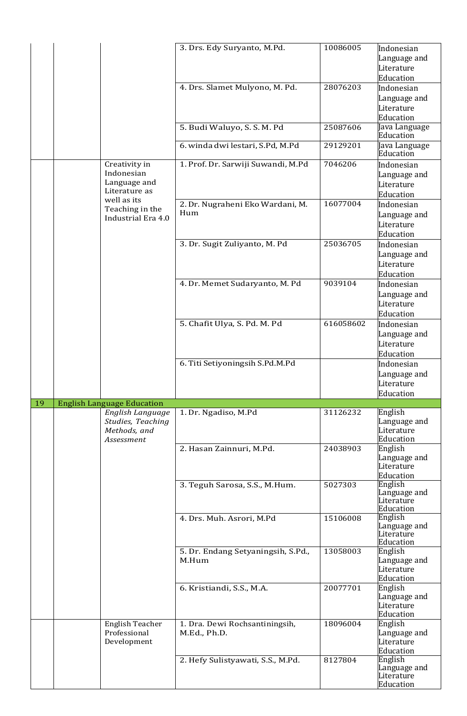|    |                                   | 3. Drs. Edy Suryanto, M.Pd.        | 10086005  | Indonesian                 |
|----|-----------------------------------|------------------------------------|-----------|----------------------------|
|    |                                   |                                    |           |                            |
|    |                                   |                                    |           | Language and               |
|    |                                   |                                    |           | Literature                 |
|    |                                   |                                    |           | Education                  |
|    |                                   | 4. Drs. Slamet Mulyono, M. Pd.     | 28076203  | Indonesian                 |
|    |                                   |                                    |           | Language and               |
|    |                                   |                                    |           | Literature                 |
|    |                                   |                                    |           |                            |
|    |                                   |                                    |           | Education                  |
|    |                                   | 5. Budi Waluyo, S. S. M. Pd        | 25087606  | Java Language              |
|    |                                   |                                    |           | Education                  |
|    |                                   | 6. winda dwi lestari, S.Pd, M.Pd   | 29129201  | Java Language              |
|    |                                   |                                    |           | Education                  |
|    | Creativity in                     | 1. Prof. Dr. Sarwiji Suwandi, M.Pd | 7046206   | Indonesian                 |
|    | Indonesian                        |                                    |           | Language and               |
|    | Language and                      |                                    |           | Literature                 |
|    | Literature as                     |                                    |           | Education                  |
|    | well as its                       |                                    |           |                            |
|    | Teaching in the                   | 2. Dr. Nugraheni Eko Wardani, M.   | 16077004  | Indonesian                 |
|    | Industrial Era 4.0                | Hum                                |           | Language and               |
|    |                                   |                                    |           | Literature                 |
|    |                                   |                                    |           | Education                  |
|    |                                   | 3. Dr. Sugit Zuliyanto, M. Pd      | 25036705  | Indonesian                 |
|    |                                   |                                    |           | Language and               |
|    |                                   |                                    |           |                            |
|    |                                   |                                    |           | Literature                 |
|    |                                   |                                    |           | Education                  |
|    |                                   | 4. Dr. Memet Sudaryanto, M. Pd     | 9039104   | Indonesian                 |
|    |                                   |                                    |           | Language and               |
|    |                                   |                                    |           | Literature                 |
|    |                                   |                                    |           | Education                  |
|    |                                   |                                    |           |                            |
|    |                                   | 5. Chafit Ulya, S. Pd. M. Pd       | 616058602 | Indonesian                 |
|    |                                   |                                    |           | Language and               |
|    |                                   |                                    |           | Literature                 |
|    |                                   |                                    |           | Education                  |
|    |                                   | 6. Titi Setiyoningsih S.Pd.M.Pd    |           | Indonesian                 |
|    |                                   |                                    |           |                            |
|    |                                   |                                    |           |                            |
|    |                                   |                                    |           | Language and               |
|    |                                   |                                    |           | Literature                 |
|    |                                   |                                    |           | Education                  |
| 19 | <b>English Language Education</b> |                                    |           |                            |
|    | English Language                  | 1. Dr. Ngadiso, M.Pd               | 31126232  | English                    |
|    | Studies, Teaching                 |                                    |           | Language and               |
|    | Methods, and                      |                                    |           | Literature                 |
|    | Assessment                        |                                    |           | Education                  |
|    |                                   | 2. Hasan Zainnuri, M.Pd.           | 24038903  | English                    |
|    |                                   |                                    |           | Language and               |
|    |                                   |                                    |           | Literature                 |
|    |                                   |                                    |           | Education                  |
|    |                                   | 3. Teguh Sarosa, S.S., M.Hum.      | 5027303   | English                    |
|    |                                   |                                    |           | Language and               |
|    |                                   |                                    |           | Literature                 |
|    |                                   |                                    |           | Education                  |
|    |                                   | 4. Drs. Muh. Asrori, M.Pd          | 15106008  | English                    |
|    |                                   |                                    |           | Language and               |
|    |                                   |                                    |           | Literature                 |
|    |                                   |                                    |           | Education                  |
|    |                                   | 5. Dr. Endang Setyaningsih, S.Pd., | 13058003  | English                    |
|    |                                   | M.Hum                              |           | Language and               |
|    |                                   |                                    |           | Literature                 |
|    |                                   |                                    |           | Education                  |
|    |                                   | 6. Kristiandi, S.S., M.A.          | 20077701  | English                    |
|    |                                   |                                    |           | Language and               |
|    |                                   |                                    |           | Literature                 |
|    |                                   |                                    |           | Education                  |
|    | English Teacher                   | 1. Dra. Dewi Rochsantiningsih,     | 18096004  | English                    |
|    | Professional                      | M.Ed., Ph.D.                       |           |                            |
|    |                                   |                                    |           | Language and<br>Literature |
|    | Development                       |                                    |           |                            |
|    |                                   |                                    |           | Education                  |
|    |                                   | 2. Hefy Sulistyawati, S.S., M.Pd.  | 8127804   | English                    |
|    |                                   |                                    |           | Language and<br>Literature |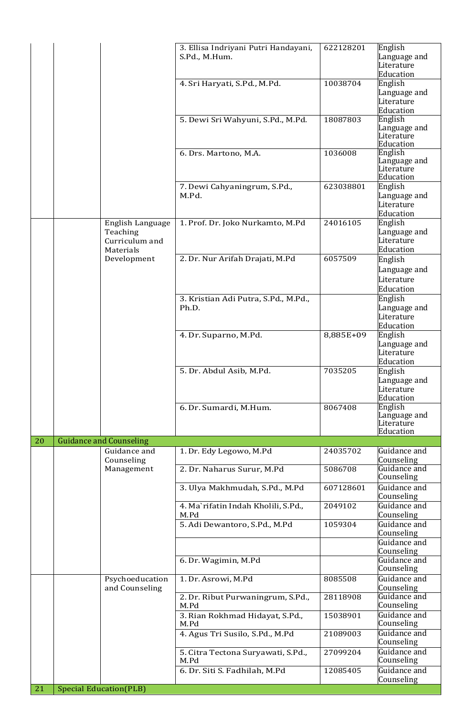|    |  |                                                             | 3. Ellisa Indriyani Putri Handayani,<br>S.Pd., M.Hum.                       | 622128201            | English<br>Language and<br>Literature<br>Education |
|----|--|-------------------------------------------------------------|-----------------------------------------------------------------------------|----------------------|----------------------------------------------------|
|    |  |                                                             | 4. Sri Haryati, S.Pd., M.Pd.                                                | 10038704             | English<br>Language and<br>Literature<br>Education |
|    |  |                                                             | 5. Dewi Sri Wahyuni, S.Pd., M.Pd.                                           | 18087803             | English<br>Language and<br>Literature<br>Education |
|    |  |                                                             | 6. Drs. Martono, M.A.                                                       | 1036008              | English<br>Language and<br>Literature<br>Education |
|    |  |                                                             | 7. Dewi Cahyaningrum, S.Pd.,<br>M.Pd.                                       | 623038801            | English<br>Language and<br>Literature<br>Education |
|    |  | English Language<br>Teaching<br>Curriculum and<br>Materials | 1. Prof. Dr. Joko Nurkamto, M.Pd                                            | 24016105             | English<br>Language and<br>Literature<br>Education |
|    |  | Development                                                 | 2. Dr. Nur Arifah Drajati, M.Pd                                             | 6057509              | English<br>Language and<br>Literature<br>Education |
|    |  |                                                             | 3. Kristian Adi Putra, S.Pd., M.Pd.,<br>Ph.D.                               |                      | English<br>Language and<br>Literature<br>Education |
|    |  |                                                             | 4. Dr. Suparno, M.Pd.                                                       | 8,885E+09            | English<br>Language and<br>Literature<br>Education |
|    |  |                                                             | 5. Dr. Abdul Asib, M.Pd.                                                    | 7035205              | English<br>Language and<br>Literature<br>Education |
|    |  |                                                             | 6. Dr. Sumardi, M.Hum.                                                      | 8067408              | English<br>Language and<br>Literature<br>Education |
| 20 |  | <b>Guidance and Counseling</b>                              |                                                                             |                      |                                                    |
|    |  | Guidance and<br>Counseling                                  | 1. Dr. Edy Legowo, M.Pd                                                     | 24035702             | Guidance and<br>Counseling                         |
|    |  | Management                                                  | 2. Dr. Naharus Surur, M.Pd                                                  | 5086708              | Guidance and<br>Counseling                         |
|    |  |                                                             | 3. Ulya Makhmudah, S.Pd., M.Pd                                              | 607128601            | Guidance and<br>Counseling                         |
|    |  |                                                             | 4. Ma`rifatin Indah Kholili, S.Pd.,<br>M.Pd                                 | 2049102              | Guidance and<br>Counseling                         |
|    |  |                                                             | 5. Adi Dewantoro, S.Pd., M.Pd                                               | 1059304              | Guidance and<br>Counseling                         |
|    |  |                                                             |                                                                             |                      | Guidance and<br>Counseling                         |
|    |  |                                                             | 6. Dr. Wagimin, M.Pd                                                        |                      | Guidance and<br>Counseling                         |
|    |  | Psychoeducation<br>and Counseling                           | 1. Dr. Asrowi, M.Pd                                                         | 8085508              | Guidance and<br>Counseling                         |
|    |  |                                                             | 2. Dr. Ribut Purwaningrum, S.Pd.,<br>M.Pd                                   | 28118908             | Guidance and<br>Counseling                         |
|    |  |                                                             | 3. Rian Rokhmad Hidayat, S.Pd.,<br>M.Pd                                     | 15038901             | Guidance and<br>Counseling                         |
|    |  |                                                             | 4. Agus Tri Susilo, S.Pd., M.Pd                                             | 21089003             | Guidance and<br>Counseling                         |
|    |  |                                                             | 5. Citra Tectona Suryawati, S.Pd.,<br>M.Pd<br>6. Dr. Siti S. Fadhilah, M.Pd | 27099204<br>12085405 | Guidance and<br>Counseling<br>Guidance and         |
| 21 |  | <b>Special Education(PLB)</b>                               |                                                                             |                      | Counseling                                         |
|    |  |                                                             |                                                                             |                      |                                                    |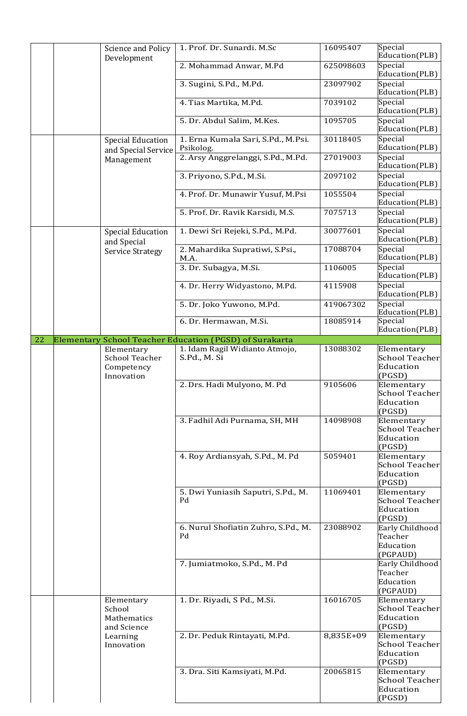|    | <b>Science and Policy</b><br>Development | 1. Prof. Dr. Sunardi. M.Sc              | 16095407                                                | Special<br>Education(PLB) |                                                     |
|----|------------------------------------------|-----------------------------------------|---------------------------------------------------------|---------------------------|-----------------------------------------------------|
|    |                                          | 2. Mohammad Anwar, M.Pd                 | 625098603                                               | Special<br>Education(PLB) |                                                     |
|    |                                          | 3. Sugini, S.Pd., M.Pd.                 | 23097902                                                | Special<br>Education(PLB) |                                                     |
|    |                                          |                                         | 4. Tias Martika, M.Pd.                                  | 7039102                   | Special<br>Education(PLB)                           |
|    |                                          |                                         | 5. Dr. Abdul Salim, M.Kes.                              | 1095705                   | Special<br>Education(PLB)                           |
|    | <b>Special Education</b>                 | and Special Service                     | 1. Erna Kumala Sari, S.Pd., M.Psi.<br>Psikolog.         | 30118405                  | Special<br>Education(PLB)                           |
|    |                                          | Management                              | 2. Arsy Anggrelanggi, S.Pd., M.Pd.                      | 27019003                  | Special<br>Education(PLB)                           |
|    |                                          |                                         | 3. Priyono, S.Pd., M.Si.                                | 2097102                   | Special<br>Education(PLB)                           |
|    |                                          |                                         | 4. Prof. Dr. Munawir Yusuf, M.Psi                       | 1055504                   | Special<br>Education(PLB)                           |
|    |                                          |                                         | 5. Prof. Dr. Ravik Karsidi, M.S.                        | 7075713                   | Special<br>Education(PLB)                           |
|    |                                          | <b>Special Education</b><br>and Special | 1. Dewi Sri Rejeki, S.Pd., M.Pd.                        | 30077601                  | Special<br>Education(PLB)                           |
|    |                                          | <b>Service Strategy</b>                 | 2. Mahardika Supratiwi, S.Psi.,<br>M.A.                 | 17088704                  | Special<br>Education(PLB)                           |
|    |                                          |                                         | 3. Dr. Subagya, M.Si.                                   | 1106005                   | Special<br>Education(PLB)                           |
|    |                                          |                                         | 4. Dr. Herry Widyastono, M.Pd.                          | 4115908                   | Special<br>Education(PLB)                           |
|    |                                          |                                         | 5. Dr. Joko Yuwono, M.Pd.                               | 419067302                 | Special<br>Education(PLB)                           |
|    |                                          |                                         | 6. Dr. Hermawan, M.Si.                                  | 18085914                  | Special<br>Education(PLB)                           |
| 22 |                                          |                                         | Elementary School Teacher Education (PGSD) of Surakarta |                           |                                                     |
|    |                                          | Elementary                              | 1. Idam Ragil Widianto Atmojo,                          | 13088302                  | Elementary                                          |
|    |                                          | <b>School Teacher</b>                   | S.Pd., M. Si                                            |                           | <b>School Teacher</b>                               |
|    |                                          | Competency<br>Innovation                |                                                         |                           | Education                                           |
|    |                                          |                                         |                                                         |                           | (PGSD)                                              |
|    |                                          |                                         | 2. Drs. Hadi Mulyono, M. Pd                             | 9105606                   | Elementary<br><b>School Teacher</b><br>Education    |
|    |                                          |                                         | 3. Fadhil Adi Purnama, SH, MH                           | 14098908                  | (PGSD)<br>Elementary<br>School Teacher<br>Education |
|    |                                          |                                         | 4. Roy Ardiansyah, S.Pd., M. Pd                         | 5059401                   | (PGSD)<br>Elementary                                |
|    |                                          |                                         |                                                         |                           | <b>School Teacher</b><br>Education                  |
|    |                                          |                                         |                                                         |                           | (PGSD)                                              |
|    |                                          |                                         | 5. Dwi Yuniasih Saputri, S.Pd., M.<br>Pd                | 11069401                  | Elementary<br>School Teacher<br>Education           |
|    |                                          |                                         |                                                         |                           | (PGSD)                                              |
|    |                                          |                                         | 6. Nurul Shofiatin Zuhro, S.Pd., M.                     | 23088902                  | Early Childhood                                     |
|    |                                          |                                         | Pd                                                      |                           | Teacher                                             |
|    |                                          |                                         |                                                         |                           | Education                                           |
|    |                                          |                                         |                                                         |                           | (PGPAUD)                                            |
|    |                                          |                                         | 7. Jumiatmoko, S.Pd., M. Pd                             |                           | Early Childhood                                     |
|    |                                          |                                         |                                                         |                           | Teacher                                             |
|    |                                          |                                         |                                                         |                           | Education                                           |
|    |                                          |                                         |                                                         |                           | (PGPAUD)                                            |
|    |                                          | Elementary<br>School                    | 1. Dr. Riyadi, S Pd., M.Si.                             | 16016705                  | Elementary<br><b>School Teacher</b>                 |
|    |                                          | Mathematics                             |                                                         |                           | Education                                           |
|    |                                          | and Science                             |                                                         |                           | (PGSD)                                              |
|    |                                          | Learning<br>Innovation                  | 2. Dr. Peduk Rintayati, M.Pd.                           | 8,835E+09                 | Elementary<br><b>School Teacher</b>                 |
|    |                                          |                                         |                                                         |                           | Education                                           |
|    |                                          |                                         |                                                         |                           | (PGSD)                                              |
|    |                                          |                                         | 3. Dra. Siti Kamsiyati, M.Pd.                           | 20065815                  | Elementary                                          |
|    |                                          |                                         |                                                         |                           | <b>School Teacher</b>                               |
|    |                                          |                                         |                                                         |                           | Education<br>(PGSD)                                 |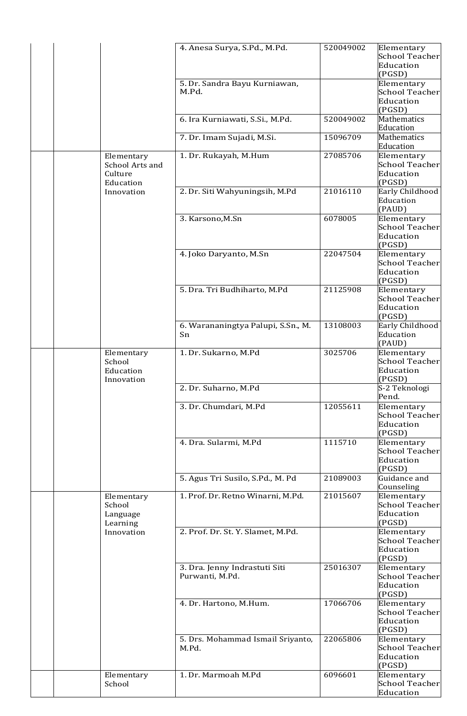|  |  |                                              | 4. Anesa Surya, S.Pd., M.Pd.           | 520049002 | Elementary<br><b>School Teacher</b> |
|--|--|----------------------------------------------|----------------------------------------|-----------|-------------------------------------|
|  |  |                                              |                                        |           |                                     |
|  |  |                                              |                                        |           | Education                           |
|  |  |                                              |                                        |           | (PGSD)                              |
|  |  |                                              | 5. Dr. Sandra Bayu Kurniawan,<br>M.Pd. |           | Elementary<br>School Teacher        |
|  |  |                                              |                                        |           | Education                           |
|  |  |                                              |                                        |           | (PGSD)                              |
|  |  |                                              | 6. Ira Kurniawati, S.Si., M.Pd.        | 520049002 | Mathematics                         |
|  |  |                                              |                                        |           | Education                           |
|  |  |                                              | 7. Dr. Imam Sujadi, M.Si.              | 15096709  | <b>Mathematics</b>                  |
|  |  |                                              |                                        |           | Education                           |
|  |  | Elementary                                   | 1. Dr. Rukayah, M.Hum                  | 27085706  | Elementary                          |
|  |  | School Arts and                              |                                        |           | <b>School Teacher</b>               |
|  |  | Culture                                      |                                        |           | Education                           |
|  |  | Education                                    |                                        |           | (PGSD)                              |
|  |  | Innovation                                   | 2. Dr. Siti Wahyuningsih, M.Pd         | 21016110  | Early Childhood                     |
|  |  |                                              |                                        |           | Education                           |
|  |  |                                              |                                        |           | (PAUD)                              |
|  |  |                                              | 3. Karsono, M.Sn                       | 6078005   | Elementary                          |
|  |  |                                              |                                        |           | School Teacher                      |
|  |  |                                              |                                        |           | Education                           |
|  |  |                                              |                                        |           | (PGSD)                              |
|  |  |                                              | 4. Joko Daryanto, M.Sn                 | 22047504  | Elementary                          |
|  |  |                                              |                                        |           | <b>School Teacher</b>               |
|  |  |                                              |                                        |           | Education                           |
|  |  |                                              |                                        |           | (PGSD)                              |
|  |  |                                              | 5. Dra. Tri Budhiharto, M.Pd           | 21125908  | Elementary                          |
|  |  |                                              |                                        |           | School Teacher                      |
|  |  |                                              |                                        |           | Education                           |
|  |  |                                              |                                        |           | (PGSD)                              |
|  |  |                                              | 6. Warananingtya Palupi, S.Sn., M.     | 13108003  | Early Childhood                     |
|  |  |                                              | Sn                                     |           | Education                           |
|  |  |                                              |                                        |           | (PAUD)                              |
|  |  | Elementary                                   | 1. Dr. Sukarno, M.Pd                   | 3025706   | Elementary                          |
|  |  | School                                       |                                        |           | School Teacher                      |
|  |  | Education<br>Innovation                      |                                        |           | Education                           |
|  |  |                                              | 2. Dr. Suharno, M.Pd                   |           | (PGSD)                              |
|  |  |                                              |                                        |           | S-2 Teknologi<br>Pend.              |
|  |  |                                              | 3. Dr. Chumdari, M.Pd                  | 12055611  | Elementary                          |
|  |  |                                              |                                        |           | School Teacher                      |
|  |  |                                              |                                        |           | Education                           |
|  |  |                                              |                                        |           | (PGSD)                              |
|  |  |                                              | 4. Dra. Sularmi, M.Pd                  | 1115710   | Elementary                          |
|  |  |                                              |                                        |           | <b>School Teacher</b>               |
|  |  |                                              |                                        |           | Education                           |
|  |  |                                              |                                        |           | (PGSD)                              |
|  |  |                                              | 5. Agus Tri Susilo, S.Pd., M. Pd       | 21089003  | Guidance and                        |
|  |  |                                              |                                        |           | Counseling                          |
|  |  | Elementary                                   | 1. Prof. Dr. Retno Winarni, M.Pd.      | 21015607  | Elementary                          |
|  |  | School<br>Language<br>Learning<br>Innovation |                                        |           | <b>School Teacher</b>               |
|  |  |                                              |                                        |           | Education                           |
|  |  |                                              |                                        |           | (PGSD)                              |
|  |  |                                              | 2. Prof. Dr. St. Y. Slamet, M.Pd.      |           | Elementary                          |
|  |  |                                              |                                        |           | <b>School Teacher</b>               |
|  |  |                                              |                                        |           | Education                           |
|  |  |                                              |                                        |           | (PGSD)                              |
|  |  |                                              | 3. Dra. Jenny Indrastuti Siti          | 25016307  | Elementary                          |
|  |  |                                              | Purwanti, M.Pd.                        |           | School Teacher                      |
|  |  |                                              |                                        |           | Education                           |
|  |  |                                              |                                        | 17066706  | (PGSD)                              |
|  |  |                                              | 4. Dr. Hartono, M.Hum.                 |           | Elementary                          |
|  |  |                                              |                                        |           | <b>School Teacher</b>               |
|  |  |                                              |                                        |           | Education                           |
|  |  |                                              | 5. Drs. Mohammad Ismail Sriyanto,      | 22065806  | (PGSD)<br>Elementary                |
|  |  |                                              | M.Pd.                                  |           | School Teacher                      |
|  |  |                                              |                                        |           | Education                           |
|  |  |                                              |                                        |           | (PGSD)                              |
|  |  | Elementary                                   | 1. Dr. Marmoah M.Pd                    | 6096601   | Elementary                          |
|  |  | School                                       |                                        |           | <b>School Teacher</b>               |
|  |  |                                              |                                        |           | Education                           |
|  |  |                                              |                                        |           |                                     |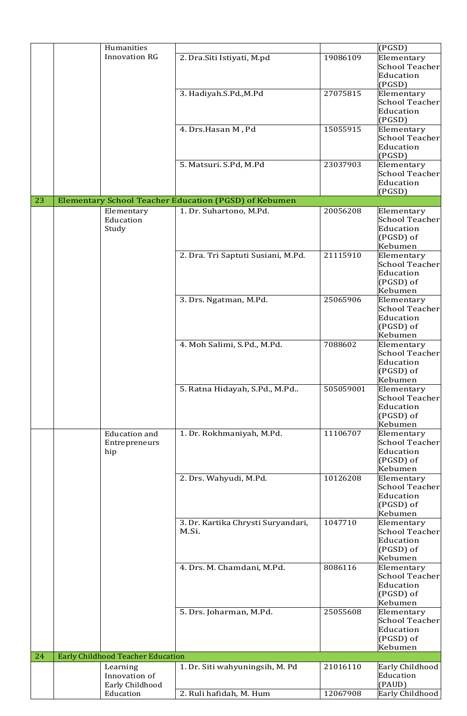|    | Humanities                                   |                                                       |           | (PGSD)                                                                   |
|----|----------------------------------------------|-------------------------------------------------------|-----------|--------------------------------------------------------------------------|
|    | <b>Innovation RG</b>                         | 2. Dra. Siti Istiyati, M.pd                           | 19086109  | Elementary<br><b>School Teacher</b><br>Education                         |
|    |                                              | 3. Hadiyah.S.Pd., M.Pd                                | 27075815  | (PGSD)<br>Elementary<br><b>School Teacher</b><br>Education               |
|    |                                              |                                                       |           | (PGSD)                                                                   |
|    |                                              | 4. Drs.Hasan M, Pd                                    | 15055915  | Elementary<br><b>School Teacher</b><br>Education                         |
|    |                                              |                                                       |           | (PGSD)                                                                   |
|    |                                              | 5. Matsuri. S.Pd, M.Pd                                | 23037903  | Elementary                                                               |
|    |                                              |                                                       |           | <b>School Teacher</b><br>Education                                       |
| 23 |                                              | Elementary School Teacher Education (PGSD) of Kebumen |           | (PGSD)                                                                   |
|    | Elementary                                   | 1. Dr. Suhartono, M.Pd.                               | 20056208  | Elementary                                                               |
|    | Education<br>Study                           |                                                       |           | <b>School Teacher</b><br>Education<br>(PGSD) of<br>Kebumen               |
|    |                                              | 2. Dra. Tri Saptuti Susiani, M.Pd.                    | 21115910  | Elementary                                                               |
|    |                                              |                                                       |           | <b>School Teacher</b><br>Education<br>(PGSD) of<br>Kebumen               |
|    |                                              | 3. Drs. Ngatman, M.Pd.                                | 25065906  | Elementary<br>School Teacher<br>Education<br>(PGSD) of                   |
|    |                                              | 4. Moh Salimi, S.Pd., M.Pd.                           | 7088602   | Kebumen<br>Elementary                                                    |
|    |                                              |                                                       |           | <b>School Teacher</b><br>Education<br>(PGSD) of<br>Kebumen               |
|    |                                              | 5. Ratna Hidayah, S.Pd., M.Pd                         | 505059001 | Elementary<br><b>School Teacher</b><br>Education<br>(PGSD) of            |
|    |                                              |                                                       |           | Kebumen                                                                  |
|    | <b>Education</b> and<br>Entrepreneurs<br>hip | 1. Dr. Rokhmaniyah, M.Pd.                             | 11106707  | Elementary<br><b>School Teacher</b><br>Education<br>(PGSD) of<br>Kebumen |
|    |                                              | 2. Drs. Wahyudi, M.Pd.                                | 10126208  | Elementary<br><b>School Teacher</b><br>Education<br>(PGSD) of<br>Kebumen |
|    |                                              | 3. Dr. Kartika Chrysti Suryandari,<br>M.Si.           | 1047710   | Elementary<br><b>School Teacher</b><br>Education<br>(PGSD) of<br>Kebumen |
|    |                                              | 4. Drs. M. Chamdani, M.Pd.                            | 8086116   | Elementary<br><b>School Teacher</b><br>Education<br>(PGSD) of<br>Kebumen |
|    |                                              | 5. Drs. Joharman, M.Pd.                               | 25055608  | Elementary<br><b>School Teacher</b><br>Education<br>(PGSD) of<br>Kebumen |
| 24 | <b>Early Childhood Teacher Education</b>     | 1. Dr. Siti wahyuningsih, M. Pd                       | 21016110  | Early Childhood                                                          |
|    | Learning<br>Innovation of<br>Early Childhood |                                                       |           | Education<br>(PAUD)                                                      |
|    | Education                                    | 2. Ruli hafidah, M. Hum                               | 12067908  | Early Childhood                                                          |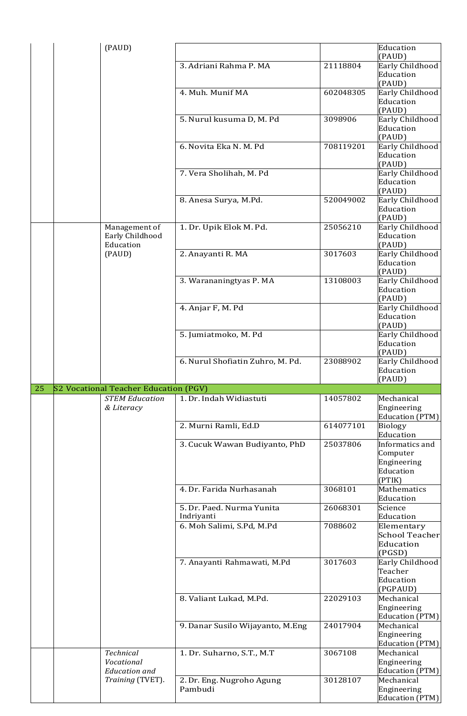|    | (PAUD)                                   |                                  |           | Education                            |
|----|------------------------------------------|----------------------------------|-----------|--------------------------------------|
|    |                                          |                                  |           | (PAUD)                               |
|    |                                          | 3. Adriani Rahma P. MA           | 21118804  | Early Childhood<br>Education         |
|    |                                          |                                  |           | (PAUD)                               |
|    |                                          | 4. Muh. Munif MA                 | 602048305 | Early Childhood                      |
|    |                                          |                                  |           | Education<br>(PAUD)                  |
|    |                                          | 5. Nurul kusuma D, M. Pd         | 3098906   | Early Childhood                      |
|    |                                          |                                  |           | Education<br>(PAUD)                  |
|    |                                          | 6. Novita Eka N. M. Pd           | 708119201 | Early Childhood                      |
|    |                                          |                                  |           | Education<br>(PAUD)                  |
|    |                                          | 7. Vera Sholihah, M. Pd          |           | Early Childhood                      |
|    |                                          |                                  |           | Education<br>(PAUD)                  |
|    |                                          | 8. Anesa Surya, M.Pd.            | 520049002 | Early Childhood                      |
|    |                                          |                                  |           | Education<br>(PAUD)                  |
|    | Management of                            | 1. Dr. Upik Elok M. Pd.          | 25056210  | Early Childhood                      |
|    | Early Childhood<br>Education             |                                  |           | Education<br>(PAUD)                  |
|    | (PAUD)                                   | 2. Anayanti R. MA                | 3017603   | Early Childhood                      |
|    |                                          |                                  |           | Education<br>(PAUD)                  |
|    |                                          | 3. Warananingtyas P. MA          | 13108003  | Early Childhood                      |
|    |                                          |                                  |           | Education                            |
|    |                                          | 4. Anjar F, M. Pd                |           | (PAUD)<br>Early Childhood            |
|    |                                          |                                  |           | Education                            |
|    |                                          |                                  |           | (PAUD)                               |
|    |                                          | 5. Jumiatmoko, M. Pd             |           | Early Childhood                      |
|    |                                          |                                  |           | Education<br>(PAUD)                  |
|    |                                          | 6. Nurul Shofiatin Zuhro, M. Pd. | 23088902  | Early Childhood                      |
|    |                                          |                                  |           | Education                            |
|    |                                          |                                  |           |                                      |
|    |                                          |                                  |           | (PAUD)                               |
| 25 | S2 Vocational Teacher Education (PGV)    |                                  |           |                                      |
|    | <b>STEM Education</b><br>& Literacy      | 1. Dr. Indah Widiastuti          | 14057802  | Mechanical<br>Engineering            |
|    |                                          |                                  |           | <b>Education (PTM)</b>               |
|    |                                          | 2. Murni Ramli, Ed.D             | 614077101 | <b>Biology</b><br>Education          |
|    |                                          | 3. Cucuk Wawan Budiyanto, PhD    | 25037806  | Informatics and                      |
|    |                                          |                                  |           | Computer                             |
|    |                                          |                                  |           | Engineering                          |
|    |                                          |                                  |           | Education<br>(PTIK)                  |
|    |                                          | 4. Dr. Farida Nurhasanah         | 3068101   | Mathematics                          |
|    |                                          | 5. Dr. Paed. Nurma Yunita        | 26068301  | Education<br>Science                 |
|    |                                          | Indriyanti                       |           | Education                            |
|    |                                          | 6. Moh Salimi, S.Pd, M.Pd        | 7088602   | Elementary                           |
|    |                                          |                                  |           | <b>School Teacher</b>                |
|    |                                          |                                  |           | Education<br>(PGSD)                  |
|    |                                          | 7. Anayanti Rahmawati, M.Pd      | 3017603   | Early Childhood                      |
|    |                                          |                                  |           | Teacher                              |
|    |                                          |                                  |           | Education<br>(PGPAUD)                |
|    |                                          | 8. Valiant Lukad, M.Pd.          | 22029103  | Mechanical                           |
|    |                                          |                                  |           | Engineering                          |
|    |                                          | 9. Danar Susilo Wijayanto, M.Eng | 24017904  | Education (PTM)<br>Mechanical        |
|    |                                          |                                  |           | Engineering                          |
|    |                                          |                                  |           | Education (PTM)                      |
|    | <b>Technical</b>                         | 1. Dr. Suharno, S.T., M.T        | 3067108   | Mechanical                           |
|    | Vocational                               |                                  |           | Engineering                          |
|    | <b>Education</b> and<br>Training (TVET). | 2. Dr. Eng. Nugroho Agung        | 30128107  | <b>Education (PTM)</b><br>Mechanical |
|    |                                          | Pambudi                          |           | Engineering<br>Education (PTM)       |